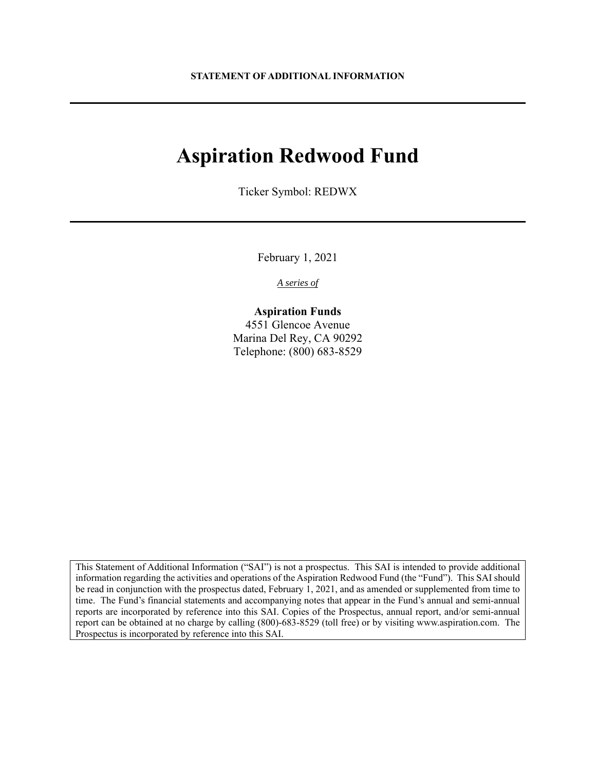# **Aspiration Redwood Fund**

Ticker Symbol: REDWX

February 1, 2021

*A series of* 

# **Aspiration Funds**

4551 Glencoe Avenue Marina Del Rey, CA 90292 Telephone: (800) 683-8529

This Statement of Additional Information ("SAI") is not a prospectus. This SAI is intended to provide additional information regarding the activities and operations of the Aspiration Redwood Fund (the "Fund"). This SAI should be read in conjunction with the prospectus dated, February 1, 2021, and as amended or supplemented from time to time. The Fund's financial statements and accompanying notes that appear in the Fund's annual and semi-annual reports are incorporated by reference into this SAI. Copies of the Prospectus, annual report, and/or semi-annual report can be obtained at no charge by calling (800)-683-8529 (toll free) or by visiting www.aspiration.com. The Prospectus is incorporated by reference into this SAI.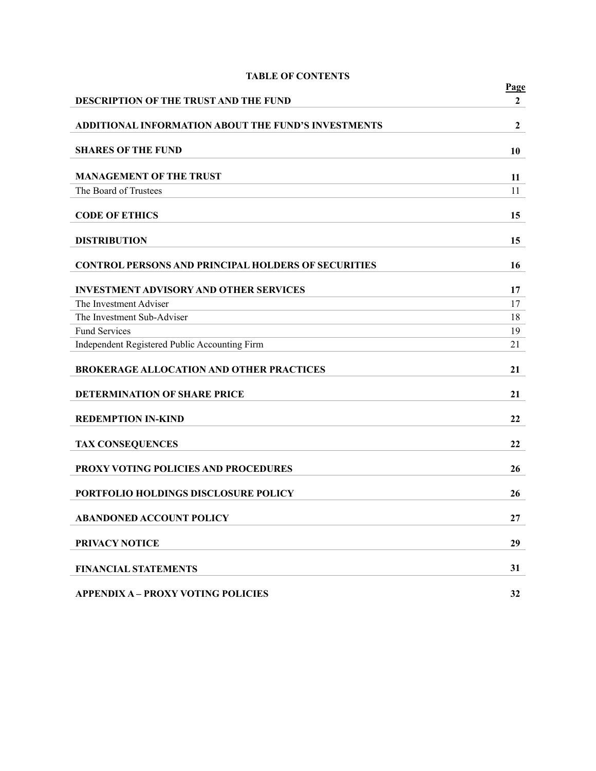|                                                            | <b>Page</b>      |
|------------------------------------------------------------|------------------|
| DESCRIPTION OF THE TRUST AND THE FUND                      | $\mathbf{2}$     |
| <b>ADDITIONAL INFORMATION ABOUT THE FUND'S INVESTMENTS</b> | $\boldsymbol{2}$ |
| <b>SHARES OF THE FUND</b>                                  | 10               |
| <b>MANAGEMENT OF THE TRUST</b>                             | 11               |
| The Board of Trustees                                      | 11               |
| <b>CODE OF ETHICS</b>                                      | 15               |
| <b>DISTRIBUTION</b>                                        | 15               |
| <b>CONTROL PERSONS AND PRINCIPAL HOLDERS OF SECURITIES</b> | 16               |
| <b>INVESTMENT ADVISORY AND OTHER SERVICES</b>              | 17               |
| The Investment Adviser                                     | 17               |
| The Investment Sub-Adviser                                 | 18               |
| <b>Fund Services</b>                                       | 19               |
| Independent Registered Public Accounting Firm              | 21               |
| <b>BROKERAGE ALLOCATION AND OTHER PRACTICES</b>            | 21               |
| DETERMINATION OF SHARE PRICE                               | 21               |
| <b>REDEMPTION IN-KIND</b>                                  | 22               |
| <b>TAX CONSEQUENCES</b>                                    | 22               |
| PROXY VOTING POLICIES AND PROCEDURES                       | 26               |
| PORTFOLIO HOLDINGS DISCLOSURE POLICY                       | 26               |
| <b>ABANDONED ACCOUNT POLICY</b>                            | 27               |
| PRIVACY NOTICE                                             | 29               |
| <b>FINANCIAL STATEMENTS</b>                                | 31               |
| <b>APPENDIX A - PROXY VOTING POLICIES</b>                  | 32               |

# **TABLE OF CONTENTS**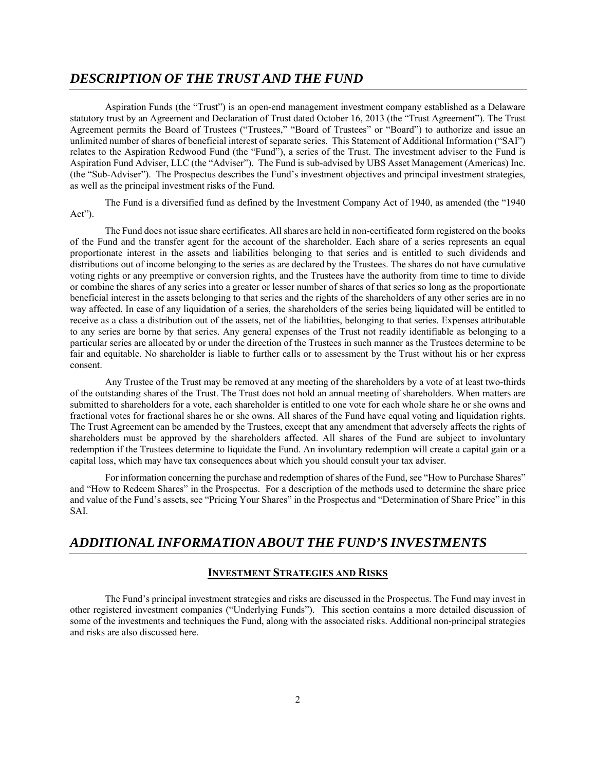# *DESCRIPTION OF THE TRUST AND THE FUND*

Aspiration Funds (the "Trust") is an open-end management investment company established as a Delaware statutory trust by an Agreement and Declaration of Trust dated October 16, 2013 (the "Trust Agreement"). The Trust Agreement permits the Board of Trustees ("Trustees," "Board of Trustees" or "Board") to authorize and issue an unlimited number of shares of beneficial interest of separate series. This Statement of Additional Information ("SAI") relates to the Aspiration Redwood Fund (the "Fund"), a series of the Trust. The investment adviser to the Fund is Aspiration Fund Adviser, LLC (the "Adviser"). The Fund is sub-advised by UBS Asset Management (Americas) Inc. (the "Sub-Adviser"). The Prospectus describes the Fund's investment objectives and principal investment strategies, as well as the principal investment risks of the Fund.

The Fund is a diversified fund as defined by the Investment Company Act of 1940, as amended (the "1940 Act").

The Fund does not issue share certificates. All shares are held in non-certificated form registered on the books of the Fund and the transfer agent for the account of the shareholder. Each share of a series represents an equal proportionate interest in the assets and liabilities belonging to that series and is entitled to such dividends and distributions out of income belonging to the series as are declared by the Trustees. The shares do not have cumulative voting rights or any preemptive or conversion rights, and the Trustees have the authority from time to time to divide or combine the shares of any series into a greater or lesser number of shares of that series so long as the proportionate beneficial interest in the assets belonging to that series and the rights of the shareholders of any other series are in no way affected. In case of any liquidation of a series, the shareholders of the series being liquidated will be entitled to receive as a class a distribution out of the assets, net of the liabilities, belonging to that series. Expenses attributable to any series are borne by that series. Any general expenses of the Trust not readily identifiable as belonging to a particular series are allocated by or under the direction of the Trustees in such manner as the Trustees determine to be fair and equitable. No shareholder is liable to further calls or to assessment by the Trust without his or her express consent.

Any Trustee of the Trust may be removed at any meeting of the shareholders by a vote of at least two-thirds of the outstanding shares of the Trust. The Trust does not hold an annual meeting of shareholders. When matters are submitted to shareholders for a vote, each shareholder is entitled to one vote for each whole share he or she owns and fractional votes for fractional shares he or she owns. All shares of the Fund have equal voting and liquidation rights. The Trust Agreement can be amended by the Trustees, except that any amendment that adversely affects the rights of shareholders must be approved by the shareholders affected. All shares of the Fund are subject to involuntary redemption if the Trustees determine to liquidate the Fund. An involuntary redemption will create a capital gain or a capital loss, which may have tax consequences about which you should consult your tax adviser.

For information concerning the purchase and redemption of shares of the Fund, see "How to Purchase Shares" and "How to Redeem Shares" in the Prospectus. For a description of the methods used to determine the share price and value of the Fund's assets, see "Pricing Your Shares" in the Prospectus and "Determination of Share Price" in this SAI.

# *ADDITIONAL INFORMATION ABOUT THE FUND'S INVESTMENTS*

## **INVESTMENT STRATEGIES AND RISKS**

The Fund's principal investment strategies and risks are discussed in the Prospectus. The Fund may invest in other registered investment companies ("Underlying Funds"). This section contains a more detailed discussion of some of the investments and techniques the Fund, along with the associated risks. Additional non-principal strategies and risks are also discussed here.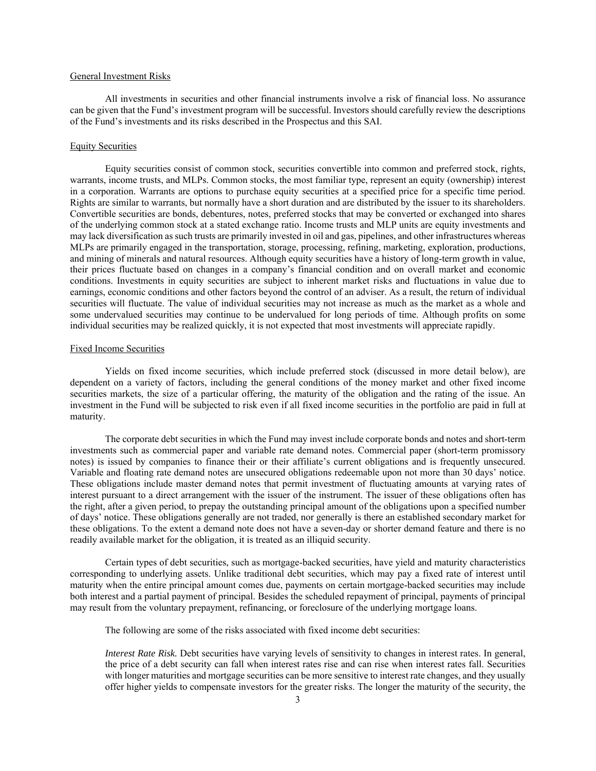#### General Investment Risks

All investments in securities and other financial instruments involve a risk of financial loss. No assurance can be given that the Fund's investment program will be successful. Investors should carefully review the descriptions of the Fund's investments and its risks described in the Prospectus and this SAI.

#### Equity Securities

Equity securities consist of common stock, securities convertible into common and preferred stock, rights, warrants, income trusts, and MLPs. Common stocks, the most familiar type, represent an equity (ownership) interest in a corporation. Warrants are options to purchase equity securities at a specified price for a specific time period. Rights are similar to warrants, but normally have a short duration and are distributed by the issuer to its shareholders. Convertible securities are bonds, debentures, notes, preferred stocks that may be converted or exchanged into shares of the underlying common stock at a stated exchange ratio. Income trusts and MLP units are equity investments and may lack diversification as such trusts are primarily invested in oil and gas, pipelines, and other infrastructures whereas MLPs are primarily engaged in the transportation, storage, processing, refining, marketing, exploration, productions, and mining of minerals and natural resources. Although equity securities have a history of long-term growth in value, their prices fluctuate based on changes in a company's financial condition and on overall market and economic conditions. Investments in equity securities are subject to inherent market risks and fluctuations in value due to earnings, economic conditions and other factors beyond the control of an adviser. As a result, the return of individual securities will fluctuate. The value of individual securities may not increase as much as the market as a whole and some undervalued securities may continue to be undervalued for long periods of time. Although profits on some individual securities may be realized quickly, it is not expected that most investments will appreciate rapidly.

#### Fixed Income Securities

Yields on fixed income securities, which include preferred stock (discussed in more detail below), are dependent on a variety of factors, including the general conditions of the money market and other fixed income securities markets, the size of a particular offering, the maturity of the obligation and the rating of the issue. An investment in the Fund will be subjected to risk even if all fixed income securities in the portfolio are paid in full at maturity.

The corporate debt securities in which the Fund may invest include corporate bonds and notes and short-term investments such as commercial paper and variable rate demand notes. Commercial paper (short-term promissory notes) is issued by companies to finance their or their affiliate's current obligations and is frequently unsecured. Variable and floating rate demand notes are unsecured obligations redeemable upon not more than 30 days' notice. These obligations include master demand notes that permit investment of fluctuating amounts at varying rates of interest pursuant to a direct arrangement with the issuer of the instrument. The issuer of these obligations often has the right, after a given period, to prepay the outstanding principal amount of the obligations upon a specified number of days' notice. These obligations generally are not traded, nor generally is there an established secondary market for these obligations. To the extent a demand note does not have a seven-day or shorter demand feature and there is no readily available market for the obligation, it is treated as an illiquid security.

Certain types of debt securities, such as mortgage-backed securities, have yield and maturity characteristics corresponding to underlying assets. Unlike traditional debt securities, which may pay a fixed rate of interest until maturity when the entire principal amount comes due, payments on certain mortgage-backed securities may include both interest and a partial payment of principal. Besides the scheduled repayment of principal, payments of principal may result from the voluntary prepayment, refinancing, or foreclosure of the underlying mortgage loans.

The following are some of the risks associated with fixed income debt securities:

*Interest Rate Risk.* Debt securities have varying levels of sensitivity to changes in interest rates. In general, the price of a debt security can fall when interest rates rise and can rise when interest rates fall. Securities with longer maturities and mortgage securities can be more sensitive to interest rate changes, and they usually offer higher yields to compensate investors for the greater risks. The longer the maturity of the security, the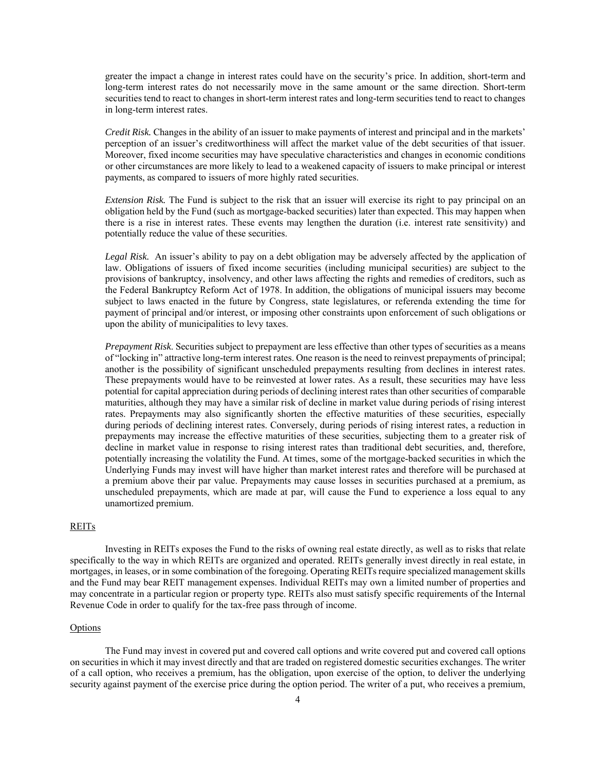greater the impact a change in interest rates could have on the security's price. In addition, short-term and long-term interest rates do not necessarily move in the same amount or the same direction. Short-term securities tend to react to changes in short-term interest rates and long-term securities tend to react to changes in long-term interest rates.

*Credit Risk.* Changes in the ability of an issuer to make payments of interest and principal and in the markets' perception of an issuer's creditworthiness will affect the market value of the debt securities of that issuer. Moreover, fixed income securities may have speculative characteristics and changes in economic conditions or other circumstances are more likely to lead to a weakened capacity of issuers to make principal or interest payments, as compared to issuers of more highly rated securities.

*Extension Risk.* The Fund is subject to the risk that an issuer will exercise its right to pay principal on an obligation held by the Fund (such as mortgage-backed securities) later than expected. This may happen when there is a rise in interest rates. These events may lengthen the duration (i.e. interest rate sensitivity) and potentially reduce the value of these securities.

*Legal Risk.* An issuer's ability to pay on a debt obligation may be adversely affected by the application of law. Obligations of issuers of fixed income securities (including municipal securities) are subject to the provisions of bankruptcy, insolvency, and other laws affecting the rights and remedies of creditors, such as the Federal Bankruptcy Reform Act of 1978. In addition, the obligations of municipal issuers may become subject to laws enacted in the future by Congress, state legislatures, or referenda extending the time for payment of principal and/or interest, or imposing other constraints upon enforcement of such obligations or upon the ability of municipalities to levy taxes.

*Prepayment Risk*. Securities subject to prepayment are less effective than other types of securities as a means of "locking in" attractive long-term interest rates. One reason is the need to reinvest prepayments of principal; another is the possibility of significant unscheduled prepayments resulting from declines in interest rates. These prepayments would have to be reinvested at lower rates. As a result, these securities may have less potential for capital appreciation during periods of declining interest rates than other securities of comparable maturities, although they may have a similar risk of decline in market value during periods of rising interest rates. Prepayments may also significantly shorten the effective maturities of these securities, especially during periods of declining interest rates. Conversely, during periods of rising interest rates, a reduction in prepayments may increase the effective maturities of these securities, subjecting them to a greater risk of decline in market value in response to rising interest rates than traditional debt securities, and, therefore, potentially increasing the volatility the Fund. At times, some of the mortgage-backed securities in which the Underlying Funds may invest will have higher than market interest rates and therefore will be purchased at a premium above their par value. Prepayments may cause losses in securities purchased at a premium, as unscheduled prepayments, which are made at par, will cause the Fund to experience a loss equal to any unamortized premium.

### REITs

 Investing in REITs exposes the Fund to the risks of owning real estate directly, as well as to risks that relate specifically to the way in which REITs are organized and operated. REITs generally invest directly in real estate, in mortgages, in leases, or in some combination of the foregoing. Operating REITs require specialized management skills and the Fund may bear REIT management expenses. Individual REITs may own a limited number of properties and may concentrate in a particular region or property type. REITs also must satisfy specific requirements of the Internal Revenue Code in order to qualify for the tax-free pass through of income.

### Options

The Fund may invest in covered put and covered call options and write covered put and covered call options on securities in which it may invest directly and that are traded on registered domestic securities exchanges. The writer of a call option, who receives a premium, has the obligation, upon exercise of the option, to deliver the underlying security against payment of the exercise price during the option period. The writer of a put, who receives a premium,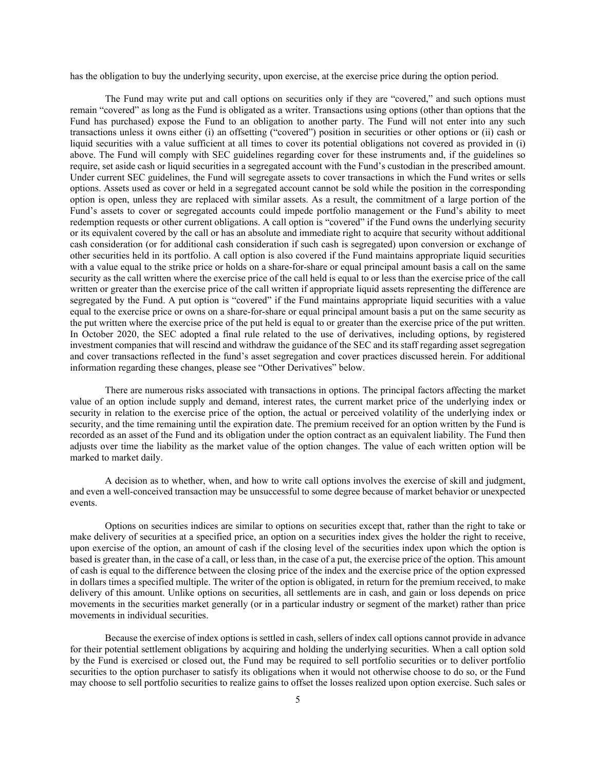has the obligation to buy the underlying security, upon exercise, at the exercise price during the option period.

The Fund may write put and call options on securities only if they are "covered," and such options must remain "covered" as long as the Fund is obligated as a writer. Transactions using options (other than options that the Fund has purchased) expose the Fund to an obligation to another party. The Fund will not enter into any such transactions unless it owns either (i) an offsetting ("covered") position in securities or other options or (ii) cash or liquid securities with a value sufficient at all times to cover its potential obligations not covered as provided in (i) above. The Fund will comply with SEC guidelines regarding cover for these instruments and, if the guidelines so require, set aside cash or liquid securities in a segregated account with the Fund's custodian in the prescribed amount. Under current SEC guidelines, the Fund will segregate assets to cover transactions in which the Fund writes or sells options. Assets used as cover or held in a segregated account cannot be sold while the position in the corresponding option is open, unless they are replaced with similar assets. As a result, the commitment of a large portion of the Fund's assets to cover or segregated accounts could impede portfolio management or the Fund's ability to meet redemption requests or other current obligations. A call option is "covered" if the Fund owns the underlying security or its equivalent covered by the call or has an absolute and immediate right to acquire that security without additional cash consideration (or for additional cash consideration if such cash is segregated) upon conversion or exchange of other securities held in its portfolio. A call option is also covered if the Fund maintains appropriate liquid securities with a value equal to the strike price or holds on a share-for-share or equal principal amount basis a call on the same security as the call written where the exercise price of the call held is equal to or less than the exercise price of the call written or greater than the exercise price of the call written if appropriate liquid assets representing the difference are segregated by the Fund. A put option is "covered" if the Fund maintains appropriate liquid securities with a value equal to the exercise price or owns on a share-for-share or equal principal amount basis a put on the same security as the put written where the exercise price of the put held is equal to or greater than the exercise price of the put written. In October 2020, the SEC adopted a final rule related to the use of derivatives, including options, by registered investment companies that will rescind and withdraw the guidance of the SEC and its staff regarding asset segregation and cover transactions reflected in the fund's asset segregation and cover practices discussed herein. For additional information regarding these changes, please see "Other Derivatives" below.

There are numerous risks associated with transactions in options. The principal factors affecting the market value of an option include supply and demand, interest rates, the current market price of the underlying index or security in relation to the exercise price of the option, the actual or perceived volatility of the underlying index or security, and the time remaining until the expiration date. The premium received for an option written by the Fund is recorded as an asset of the Fund and its obligation under the option contract as an equivalent liability. The Fund then adjusts over time the liability as the market value of the option changes. The value of each written option will be marked to market daily.

A decision as to whether, when, and how to write call options involves the exercise of skill and judgment, and even a well-conceived transaction may be unsuccessful to some degree because of market behavior or unexpected events.

Options on securities indices are similar to options on securities except that, rather than the right to take or make delivery of securities at a specified price, an option on a securities index gives the holder the right to receive, upon exercise of the option, an amount of cash if the closing level of the securities index upon which the option is based is greater than, in the case of a call, or less than, in the case of a put, the exercise price of the option. This amount of cash is equal to the difference between the closing price of the index and the exercise price of the option expressed in dollars times a specified multiple. The writer of the option is obligated, in return for the premium received, to make delivery of this amount. Unlike options on securities, all settlements are in cash, and gain or loss depends on price movements in the securities market generally (or in a particular industry or segment of the market) rather than price movements in individual securities.

Because the exercise of index options is settled in cash, sellers of index call options cannot provide in advance for their potential settlement obligations by acquiring and holding the underlying securities. When a call option sold by the Fund is exercised or closed out, the Fund may be required to sell portfolio securities or to deliver portfolio securities to the option purchaser to satisfy its obligations when it would not otherwise choose to do so, or the Fund may choose to sell portfolio securities to realize gains to offset the losses realized upon option exercise. Such sales or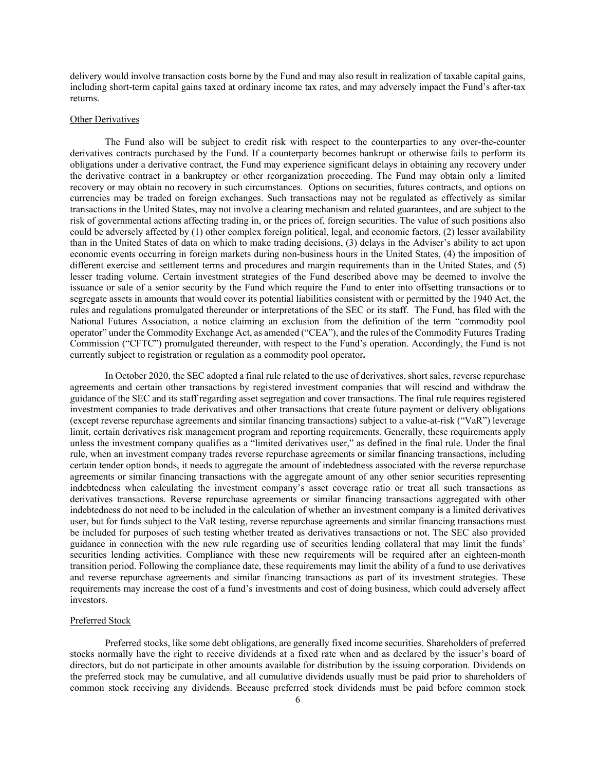delivery would involve transaction costs borne by the Fund and may also result in realization of taxable capital gains, including short-term capital gains taxed at ordinary income tax rates, and may adversely impact the Fund's after-tax returns.

#### Other Derivatives

The Fund also will be subject to credit risk with respect to the counterparties to any over-the-counter derivatives contracts purchased by the Fund. If a counterparty becomes bankrupt or otherwise fails to perform its obligations under a derivative contract, the Fund may experience significant delays in obtaining any recovery under the derivative contract in a bankruptcy or other reorganization proceeding. The Fund may obtain only a limited recovery or may obtain no recovery in such circumstances. Options on securities, futures contracts, and options on currencies may be traded on foreign exchanges. Such transactions may not be regulated as effectively as similar transactions in the United States, may not involve a clearing mechanism and related guarantees, and are subject to the risk of governmental actions affecting trading in, or the prices of, foreign securities. The value of such positions also could be adversely affected by (1) other complex foreign political, legal, and economic factors, (2) lesser availability than in the United States of data on which to make trading decisions, (3) delays in the Adviser's ability to act upon economic events occurring in foreign markets during non-business hours in the United States, (4) the imposition of different exercise and settlement terms and procedures and margin requirements than in the United States, and (5) lesser trading volume. Certain investment strategies of the Fund described above may be deemed to involve the issuance or sale of a senior security by the Fund which require the Fund to enter into offsetting transactions or to segregate assets in amounts that would cover its potential liabilities consistent with or permitted by the 1940 Act, the rules and regulations promulgated thereunder or interpretations of the SEC or its staff. The Fund, has filed with the National Futures Association, a notice claiming an exclusion from the definition of the term "commodity pool operator" under the Commodity Exchange Act, as amended ("CEA"), and the rules of the Commodity Futures Trading Commission ("CFTC") promulgated thereunder, with respect to the Fund's operation. Accordingly, the Fund is not currently subject to registration or regulation as a commodity pool operator**.** 

In October 2020, the SEC adopted a final rule related to the use of derivatives, short sales, reverse repurchase agreements and certain other transactions by registered investment companies that will rescind and withdraw the guidance of the SEC and its staff regarding asset segregation and cover transactions. The final rule requires registered investment companies to trade derivatives and other transactions that create future payment or delivery obligations (except reverse repurchase agreements and similar financing transactions) subject to a value-at-risk ("VaR") leverage limit, certain derivatives risk management program and reporting requirements. Generally, these requirements apply unless the investment company qualifies as a "limited derivatives user," as defined in the final rule. Under the final rule, when an investment company trades reverse repurchase agreements or similar financing transactions, including certain tender option bonds, it needs to aggregate the amount of indebtedness associated with the reverse repurchase agreements or similar financing transactions with the aggregate amount of any other senior securities representing indebtedness when calculating the investment company's asset coverage ratio or treat all such transactions as derivatives transactions. Reverse repurchase agreements or similar financing transactions aggregated with other indebtedness do not need to be included in the calculation of whether an investment company is a limited derivatives user, but for funds subject to the VaR testing, reverse repurchase agreements and similar financing transactions must be included for purposes of such testing whether treated as derivatives transactions or not. The SEC also provided guidance in connection with the new rule regarding use of securities lending collateral that may limit the funds' securities lending activities. Compliance with these new requirements will be required after an eighteen-month transition period. Following the compliance date, these requirements may limit the ability of a fund to use derivatives and reverse repurchase agreements and similar financing transactions as part of its investment strategies. These requirements may increase the cost of a fund's investments and cost of doing business, which could adversely affect investors.

### Preferred Stock

Preferred stocks, like some debt obligations, are generally fixed income securities. Shareholders of preferred stocks normally have the right to receive dividends at a fixed rate when and as declared by the issuer's board of directors, but do not participate in other amounts available for distribution by the issuing corporation. Dividends on the preferred stock may be cumulative, and all cumulative dividends usually must be paid prior to shareholders of common stock receiving any dividends. Because preferred stock dividends must be paid before common stock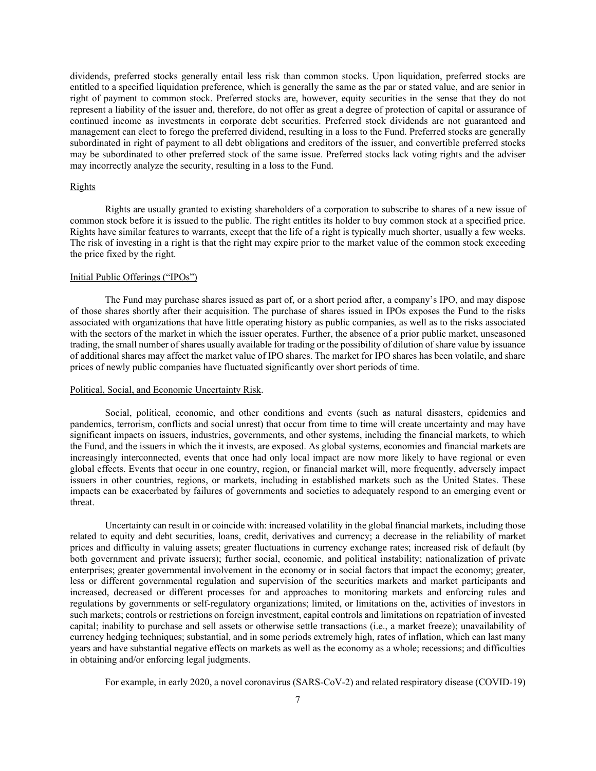dividends, preferred stocks generally entail less risk than common stocks. Upon liquidation, preferred stocks are entitled to a specified liquidation preference, which is generally the same as the par or stated value, and are senior in right of payment to common stock. Preferred stocks are, however, equity securities in the sense that they do not represent a liability of the issuer and, therefore, do not offer as great a degree of protection of capital or assurance of continued income as investments in corporate debt securities. Preferred stock dividends are not guaranteed and management can elect to forego the preferred dividend, resulting in a loss to the Fund. Preferred stocks are generally subordinated in right of payment to all debt obligations and creditors of the issuer, and convertible preferred stocks may be subordinated to other preferred stock of the same issue. Preferred stocks lack voting rights and the adviser may incorrectly analyze the security, resulting in a loss to the Fund.

### Rights

Rights are usually granted to existing shareholders of a corporation to subscribe to shares of a new issue of common stock before it is issued to the public. The right entitles its holder to buy common stock at a specified price. Rights have similar features to warrants, except that the life of a right is typically much shorter, usually a few weeks. The risk of investing in a right is that the right may expire prior to the market value of the common stock exceeding the price fixed by the right.

### Initial Public Offerings ("IPOs")

 The Fund may purchase shares issued as part of, or a short period after, a company's IPO, and may dispose of those shares shortly after their acquisition. The purchase of shares issued in IPOs exposes the Fund to the risks associated with organizations that have little operating history as public companies, as well as to the risks associated with the sectors of the market in which the issuer operates. Further, the absence of a prior public market, unseasoned trading, the small number of shares usually available for trading or the possibility of dilution of share value by issuance of additional shares may affect the market value of IPO shares. The market for IPO shares has been volatile, and share prices of newly public companies have fluctuated significantly over short periods of time.

#### Political, Social, and Economic Uncertainty Risk.

 Social, political, economic, and other conditions and events (such as natural disasters, epidemics and pandemics, terrorism, conflicts and social unrest) that occur from time to time will create uncertainty and may have significant impacts on issuers, industries, governments, and other systems, including the financial markets, to which the Fund, and the issuers in which the it invests, are exposed. As global systems, economies and financial markets are increasingly interconnected, events that once had only local impact are now more likely to have regional or even global effects. Events that occur in one country, region, or financial market will, more frequently, adversely impact issuers in other countries, regions, or markets, including in established markets such as the United States. These impacts can be exacerbated by failures of governments and societies to adequately respond to an emerging event or threat.

Uncertainty can result in or coincide with: increased volatility in the global financial markets, including those related to equity and debt securities, loans, credit, derivatives and currency; a decrease in the reliability of market prices and difficulty in valuing assets; greater fluctuations in currency exchange rates; increased risk of default (by both government and private issuers); further social, economic, and political instability; nationalization of private enterprises; greater governmental involvement in the economy or in social factors that impact the economy; greater, less or different governmental regulation and supervision of the securities markets and market participants and increased, decreased or different processes for and approaches to monitoring markets and enforcing rules and regulations by governments or self-regulatory organizations; limited, or limitations on the, activities of investors in such markets; controls or restrictions on foreign investment, capital controls and limitations on repatriation of invested capital; inability to purchase and sell assets or otherwise settle transactions (i.e., a market freeze); unavailability of currency hedging techniques; substantial, and in some periods extremely high, rates of inflation, which can last many years and have substantial negative effects on markets as well as the economy as a whole; recessions; and difficulties in obtaining and/or enforcing legal judgments.

For example, in early 2020, a novel coronavirus (SARS-CoV-2) and related respiratory disease (COVID-19)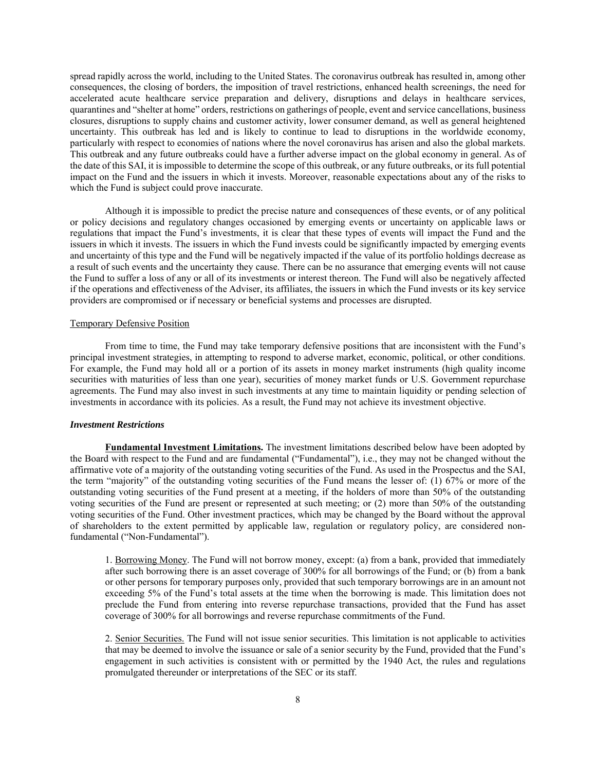spread rapidly across the world, including to the United States. The coronavirus outbreak has resulted in, among other consequences, the closing of borders, the imposition of travel restrictions, enhanced health screenings, the need for accelerated acute healthcare service preparation and delivery, disruptions and delays in healthcare services, quarantines and "shelter at home" orders, restrictions on gatherings of people, event and service cancellations, business closures, disruptions to supply chains and customer activity, lower consumer demand, as well as general heightened uncertainty. This outbreak has led and is likely to continue to lead to disruptions in the worldwide economy, particularly with respect to economies of nations where the novel coronavirus has arisen and also the global markets. This outbreak and any future outbreaks could have a further adverse impact on the global economy in general. As of the date of this SAI, it is impossible to determine the scope of this outbreak, or any future outbreaks, or its full potential impact on the Fund and the issuers in which it invests. Moreover, reasonable expectations about any of the risks to which the Fund is subject could prove inaccurate.

Although it is impossible to predict the precise nature and consequences of these events, or of any political or policy decisions and regulatory changes occasioned by emerging events or uncertainty on applicable laws or regulations that impact the Fund's investments, it is clear that these types of events will impact the Fund and the issuers in which it invests. The issuers in which the Fund invests could be significantly impacted by emerging events and uncertainty of this type and the Fund will be negatively impacted if the value of its portfolio holdings decrease as a result of such events and the uncertainty they cause. There can be no assurance that emerging events will not cause the Fund to suffer a loss of any or all of its investments or interest thereon. The Fund will also be negatively affected if the operations and effectiveness of the Adviser, its affiliates, the issuers in which the Fund invests or its key service providers are compromised or if necessary or beneficial systems and processes are disrupted.

#### Temporary Defensive Position

From time to time, the Fund may take temporary defensive positions that are inconsistent with the Fund's principal investment strategies, in attempting to respond to adverse market, economic, political, or other conditions. For example, the Fund may hold all or a portion of its assets in money market instruments (high quality income securities with maturities of less than one year), securities of money market funds or U.S. Government repurchase agreements. The Fund may also invest in such investments at any time to maintain liquidity or pending selection of investments in accordance with its policies. As a result, the Fund may not achieve its investment objective.

#### *Investment Restrictions*

**Fundamental Investment Limitations.** The investment limitations described below have been adopted by the Board with respect to the Fund and are fundamental ("Fundamental"), i.e., they may not be changed without the affirmative vote of a majority of the outstanding voting securities of the Fund. As used in the Prospectus and the SAI, the term "majority" of the outstanding voting securities of the Fund means the lesser of: (1) 67% or more of the outstanding voting securities of the Fund present at a meeting, if the holders of more than 50% of the outstanding voting securities of the Fund are present or represented at such meeting; or (2) more than 50% of the outstanding voting securities of the Fund. Other investment practices, which may be changed by the Board without the approval of shareholders to the extent permitted by applicable law, regulation or regulatory policy, are considered nonfundamental ("Non-Fundamental").

1. Borrowing Money. The Fund will not borrow money, except: (a) from a bank, provided that immediately after such borrowing there is an asset coverage of 300% for all borrowings of the Fund; or (b) from a bank or other persons for temporary purposes only, provided that such temporary borrowings are in an amount not exceeding 5% of the Fund's total assets at the time when the borrowing is made. This limitation does not preclude the Fund from entering into reverse repurchase transactions, provided that the Fund has asset coverage of 300% for all borrowings and reverse repurchase commitments of the Fund.

2. Senior Securities. The Fund will not issue senior securities. This limitation is not applicable to activities that may be deemed to involve the issuance or sale of a senior security by the Fund, provided that the Fund's engagement in such activities is consistent with or permitted by the 1940 Act, the rules and regulations promulgated thereunder or interpretations of the SEC or its staff.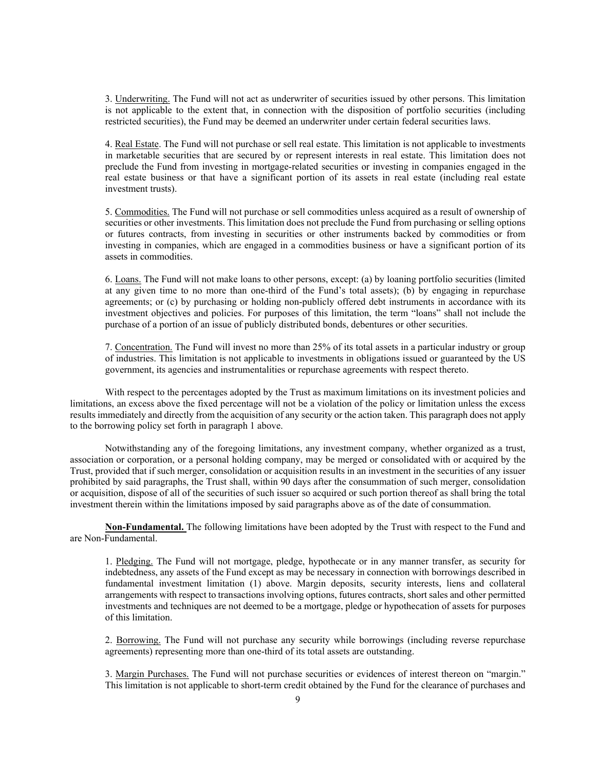3. Underwriting. The Fund will not act as underwriter of securities issued by other persons. This limitation is not applicable to the extent that, in connection with the disposition of portfolio securities (including restricted securities), the Fund may be deemed an underwriter under certain federal securities laws.

4. Real Estate. The Fund will not purchase or sell real estate. This limitation is not applicable to investments in marketable securities that are secured by or represent interests in real estate. This limitation does not preclude the Fund from investing in mortgage-related securities or investing in companies engaged in the real estate business or that have a significant portion of its assets in real estate (including real estate investment trusts).

5. Commodities. The Fund will not purchase or sell commodities unless acquired as a result of ownership of securities or other investments. This limitation does not preclude the Fund from purchasing or selling options or futures contracts, from investing in securities or other instruments backed by commodities or from investing in companies, which are engaged in a commodities business or have a significant portion of its assets in commodities.

6. Loans. The Fund will not make loans to other persons, except: (a) by loaning portfolio securities (limited at any given time to no more than one-third of the Fund's total assets); (b) by engaging in repurchase agreements; or (c) by purchasing or holding non-publicly offered debt instruments in accordance with its investment objectives and policies. For purposes of this limitation, the term "loans" shall not include the purchase of a portion of an issue of publicly distributed bonds, debentures or other securities.

7. Concentration. The Fund will invest no more than 25% of its total assets in a particular industry or group of industries. This limitation is not applicable to investments in obligations issued or guaranteed by the US government, its agencies and instrumentalities or repurchase agreements with respect thereto.

With respect to the percentages adopted by the Trust as maximum limitations on its investment policies and limitations, an excess above the fixed percentage will not be a violation of the policy or limitation unless the excess results immediately and directly from the acquisition of any security or the action taken. This paragraph does not apply to the borrowing policy set forth in paragraph 1 above.

Notwithstanding any of the foregoing limitations, any investment company, whether organized as a trust, association or corporation, or a personal holding company, may be merged or consolidated with or acquired by the Trust, provided that if such merger, consolidation or acquisition results in an investment in the securities of any issuer prohibited by said paragraphs, the Trust shall, within 90 days after the consummation of such merger, consolidation or acquisition, dispose of all of the securities of such issuer so acquired or such portion thereof as shall bring the total investment therein within the limitations imposed by said paragraphs above as of the date of consummation.

**Non-Fundamental.** The following limitations have been adopted by the Trust with respect to the Fund and are Non-Fundamental.

1. Pledging. The Fund will not mortgage, pledge, hypothecate or in any manner transfer, as security for indebtedness, any assets of the Fund except as may be necessary in connection with borrowings described in fundamental investment limitation (1) above. Margin deposits, security interests, liens and collateral arrangements with respect to transactions involving options, futures contracts, short sales and other permitted investments and techniques are not deemed to be a mortgage, pledge or hypothecation of assets for purposes of this limitation.

2. Borrowing. The Fund will not purchase any security while borrowings (including reverse repurchase agreements) representing more than one-third of its total assets are outstanding.

3. Margin Purchases. The Fund will not purchase securities or evidences of interest thereon on "margin." This limitation is not applicable to short-term credit obtained by the Fund for the clearance of purchases and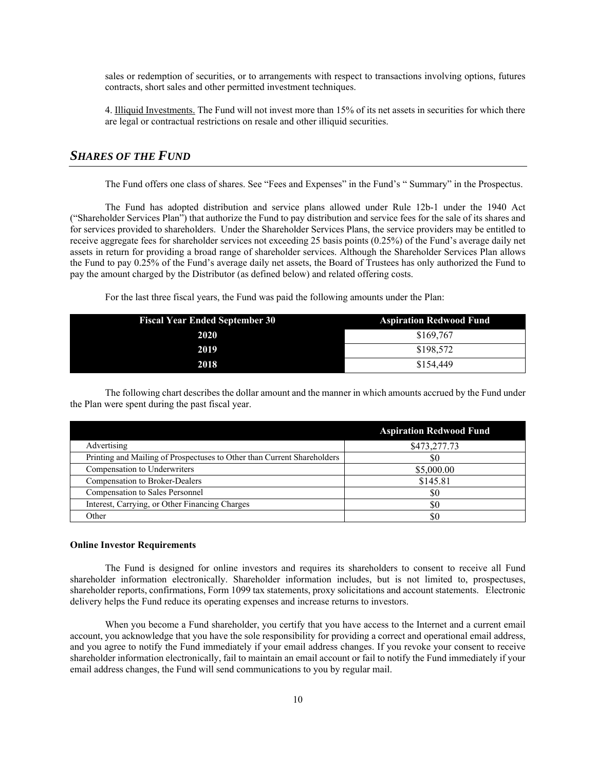sales or redemption of securities, or to arrangements with respect to transactions involving options, futures contracts, short sales and other permitted investment techniques.

4. Illiquid Investments. The Fund will not invest more than 15% of its net assets in securities for which there are legal or contractual restrictions on resale and other illiquid securities.

# *SHARES OF THE FUND*

The Fund offers one class of shares. See "Fees and Expenses" in the Fund's " Summary" in the Prospectus.

The Fund has adopted distribution and service plans allowed under Rule 12b-1 under the 1940 Act ("Shareholder Services Plan") that authorize the Fund to pay distribution and service fees for the sale of its shares and for services provided to shareholders. Under the Shareholder Services Plans, the service providers may be entitled to receive aggregate fees for shareholder services not exceeding 25 basis points (0.25%) of the Fund's average daily net assets in return for providing a broad range of shareholder services. Although the Shareholder Services Plan allows the Fund to pay 0.25% of the Fund's average daily net assets, the Board of Trustees has only authorized the Fund to pay the amount charged by the Distributor (as defined below) and related offering costs.

For the last three fiscal years, the Fund was paid the following amounts under the Plan:

| <b>Fiscal Year Ended September 30</b> | <b>Aspiration Redwood Fund</b> |
|---------------------------------------|--------------------------------|
| 2020                                  | \$169,767                      |
| 2019                                  | \$198,572                      |
| 2018                                  | \$154,449                      |

The following chart describes the dollar amount and the manner in which amounts accrued by the Fund under the Plan were spent during the past fiscal year.

|                                                                         | <b>Aspiration Redwood Fund</b> |
|-------------------------------------------------------------------------|--------------------------------|
| Advertising                                                             | \$473,277.73                   |
| Printing and Mailing of Prospectuses to Other than Current Shareholders | 80                             |
| Compensation to Underwriters                                            | \$5,000.00                     |
| Compensation to Broker-Dealers                                          | \$145.81                       |
| Compensation to Sales Personnel                                         | \$0                            |
| Interest, Carrying, or Other Financing Charges                          | \$0                            |
| Other                                                                   | \$0                            |

### **Online Investor Requirements**

The Fund is designed for online investors and requires its shareholders to consent to receive all Fund shareholder information electronically. Shareholder information includes, but is not limited to, prospectuses, shareholder reports, confirmations, Form 1099 tax statements, proxy solicitations and account statements. Electronic delivery helps the Fund reduce its operating expenses and increase returns to investors.

When you become a Fund shareholder, you certify that you have access to the Internet and a current email account, you acknowledge that you have the sole responsibility for providing a correct and operational email address, and you agree to notify the Fund immediately if your email address changes. If you revoke your consent to receive shareholder information electronically, fail to maintain an email account or fail to notify the Fund immediately if your email address changes, the Fund will send communications to you by regular mail.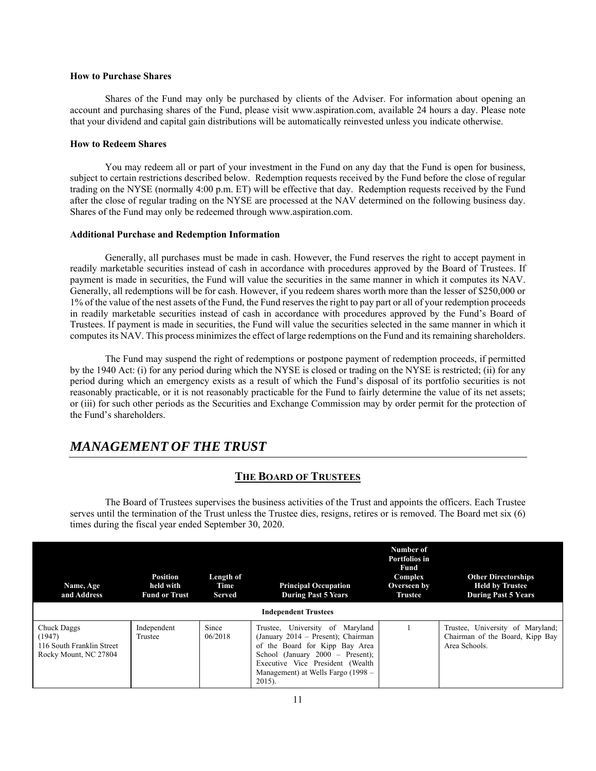### **How to Purchase Shares**

Shares of the Fund may only be purchased by clients of the Adviser. For information about opening an account and purchasing shares of the Fund, please visit www.aspiration.com, available 24 hours a day. Please note that your dividend and capital gain distributions will be automatically reinvested unless you indicate otherwise.

### **How to Redeem Shares**

You may redeem all or part of your investment in the Fund on any day that the Fund is open for business, subject to certain restrictions described below. Redemption requests received by the Fund before the close of regular trading on the NYSE (normally 4:00 p.m. ET) will be effective that day. Redemption requests received by the Fund after the close of regular trading on the NYSE are processed at the NAV determined on the following business day. Shares of the Fund may only be redeemed through www.aspiration.com.

### **Additional Purchase and Redemption Information**

Generally, all purchases must be made in cash. However, the Fund reserves the right to accept payment in readily marketable securities instead of cash in accordance with procedures approved by the Board of Trustees. If payment is made in securities, the Fund will value the securities in the same manner in which it computes its NAV. Generally, all redemptions will be for cash. However, if you redeem shares worth more than the lesser of \$250,000 or 1% of the value of the nest assets of the Fund, the Fund reserves the right to pay part or all of your redemption proceeds in readily marketable securities instead of cash in accordance with procedures approved by the Fund's Board of Trustees. If payment is made in securities, the Fund will value the securities selected in the same manner in which it computes its NAV. This process minimizes the effect of large redemptions on the Fund and its remaining shareholders.

The Fund may suspend the right of redemptions or postpone payment of redemption proceeds, if permitted by the 1940 Act: (i) for any period during which the NYSE is closed or trading on the NYSE is restricted; (ii) for any period during which an emergency exists as a result of which the Fund's disposal of its portfolio securities is not reasonably practicable, or it is not reasonably practicable for the Fund to fairly determine the value of its net assets; or (iii) for such other periods as the Securities and Exchange Commission may by order permit for the protection of the Fund's shareholders.

# *MANAGEMENT OF THE TRUST*

# **THE BOARD OF TRUSTEES**

The Board of Trustees supervises the business activities of the Trust and appoints the officers. Each Trustee serves until the termination of the Trust unless the Trustee dies, resigns, retires or is removed. The Board met six (6) times during the fiscal year ended September 30, 2020.

| Name, Age<br>and Address                                                    | <b>Position</b><br>held with<br><b>Fund or Trust</b> | Length of<br>Time<br><b>Served</b> | <b>Principal Occupation</b><br><b>During Past 5 Years</b>                                                                                                                                                                             | Number of<br>Portfolios in<br>Fund<br><b>Complex</b><br>Overseen by<br><b>Trustee</b> | <b>Other Directorships</b><br><b>Held by Trustee</b><br><b>During Past 5 Years</b>   |  |
|-----------------------------------------------------------------------------|------------------------------------------------------|------------------------------------|---------------------------------------------------------------------------------------------------------------------------------------------------------------------------------------------------------------------------------------|---------------------------------------------------------------------------------------|--------------------------------------------------------------------------------------|--|
| <b>Independent Trustees</b>                                                 |                                                      |                                    |                                                                                                                                                                                                                                       |                                                                                       |                                                                                      |  |
| Chuck Daggs<br>(1947)<br>116 South Franklin Street<br>Rocky Mount, NC 27804 | Independent<br>Trustee                               | Since<br>06/2018                   | Trustee, University of Maryland<br>(January 2014 – Present); Chairman<br>of the Board for Kipp Bay Area<br>School (January $2000 -$ Present);<br>Executive Vice President (Wealth)<br>Management) at Wells Fargo (1998 –<br>$2015$ ). |                                                                                       | Trustee, University of Maryland;<br>Chairman of the Board, Kipp Bay<br>Area Schools. |  |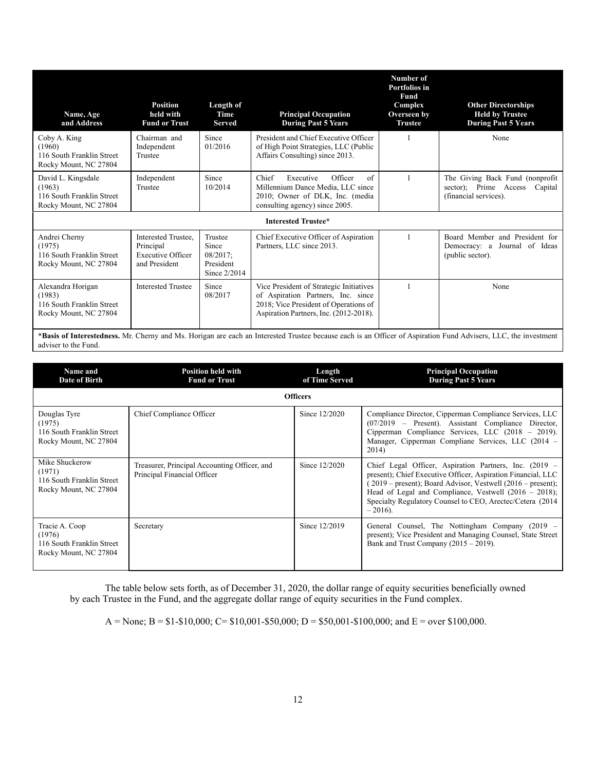| Name, Age<br>and Address                                                                                                        | <b>Position</b><br>held with<br><b>Fund or Trust</b>                                           | Length of<br>Time<br><b>Served</b>                           | <b>Principal Occupation</b><br><b>During Past 5 Years</b>                                                                                                                                                                                                | Number of<br>Portfolios in<br>Fund<br>Complex<br>Overseen by<br><b>Trustee</b> | <b>Other Directorships</b><br><b>Held by Trustee</b><br><b>During Past 5 Years</b>            |
|---------------------------------------------------------------------------------------------------------------------------------|------------------------------------------------------------------------------------------------|--------------------------------------------------------------|----------------------------------------------------------------------------------------------------------------------------------------------------------------------------------------------------------------------------------------------------------|--------------------------------------------------------------------------------|-----------------------------------------------------------------------------------------------|
| Coby A. King<br>(1960)<br>116 South Franklin Street<br>Rocky Mount, NC 27804                                                    | Chairman and<br>Independent<br>Trustee                                                         | Since<br>01/2016                                             | President and Chief Executive Officer<br>of High Point Strategies, LLC (Public<br>Affairs Consulting) since 2013.                                                                                                                                        |                                                                                | None                                                                                          |
| David L. Kingsdale<br>(1963)<br>116 South Franklin Street<br>Rocky Mount, NC 27804                                              | Independent<br>Trustee                                                                         | Since<br>10/2014                                             | of<br>Chief<br>Executive<br>Officer<br>Millennium Dance Media, LLC since<br>2010; Owner of DLK, Inc. (media<br>consulting agency) since 2005.                                                                                                            |                                                                                | The Giving Back Fund (nonprofit)<br>sector); Prime Access<br>Capital<br>(financial services). |
|                                                                                                                                 |                                                                                                |                                                              | Interested Trustee*                                                                                                                                                                                                                                      |                                                                                |                                                                                               |
| Andrei Cherny<br>(1975)<br>116 South Franklin Street<br>Rocky Mount, NC 27804                                                   | Interested Trustee.<br>Principal<br><b>Executive Officer</b><br>and President                  | Trustee<br>Since<br>$08/2017$ :<br>President<br>Since 2/2014 | Chief Executive Officer of Aspiration<br>Partners, LLC since 2013.                                                                                                                                                                                       |                                                                                | Board Member and President for<br>Democracy: a<br>Journal of Ideas<br>(public sector).        |
| Alexandra Horigan<br>(1983)<br>116 South Franklin Street<br>Rocky Mount, NC 27804<br>$\mathbf{m}$ . $\mathbf{r}$ . $\mathbf{r}$ | <b>Interested Trustee</b><br>$\mathbf{A} \mathbf{f}$ $\mathbf{C} \mathbf{I}$<br>$1.3.6$ TT $1$ | Since<br>08/2017                                             | Vice President of Strategic Initiatives<br>of Aspiration Partners, Inc. since<br>2018; Vice President of Operations of<br>Aspiration Partners, Inc. (2012-2018).<br>$\sim$<br>$\sim$ $\sim$<br>$\mathbf{r}$ , $\mathbf{r}$ , $\mathbf{r}$ , $\mathbf{r}$ |                                                                                | None<br>$\mathcal{C}(A) = \mathcal{C}(A)$ . The set of $A \cup A$<br>$T T \cap A$             |

**\*Basis of Interestedness.** Mr. Cherny and Ms. Horigan are each an Interested Trustee because each is an Officer of Aspiration Fund Advisers, LLC, the investment adviser to the Fund.

| Name and<br>Date of Birth                                                      | <b>Position held with</b><br><b>Fund or Trust</b>                           | Length<br>of Time Served | <b>Principal Occupation</b><br><b>During Past 5 Years</b>                                                                                                                                                                                                                                                                           |
|--------------------------------------------------------------------------------|-----------------------------------------------------------------------------|--------------------------|-------------------------------------------------------------------------------------------------------------------------------------------------------------------------------------------------------------------------------------------------------------------------------------------------------------------------------------|
|                                                                                |                                                                             | <b>Officers</b>          |                                                                                                                                                                                                                                                                                                                                     |
| Douglas Tyre<br>(1975)<br>116 South Franklin Street<br>Rocky Mount, NC 27804   | Chief Compliance Officer                                                    | Since 12/2020            | Compliance Director, Cipperman Compliance Services, LLC<br>(07/2019 – Present). Assistant Compliance Director,<br>Cipperman Compliance Services, LLC (2018 – 2019).<br>Manager, Cipperman Compliane Services, LLC (2014 –<br>2014)                                                                                                  |
| Mike Shuckerow<br>(1971)<br>116 South Franklin Street<br>Rocky Mount, NC 27804 | Treasurer, Principal Accounting Officer, and<br>Principal Financial Officer | Since 12/2020            | Chief Legal Officer, Aspiration Partners, Inc. (2019 –<br>present); Chief Executive Officer, Aspiration Financial, LLC<br>$(2019 - present)$ ; Board Advisor, Vestwell $(2016 - present)$ ;<br>Head of Legal and Compliance, Vestwell $(2016 - 2018)$ ;<br>Specialty Regulatory Counsel to CEO, Arectec/Cetera (2014)<br>$-2016$ ). |
| Tracie A. Coop<br>(1976)<br>116 South Franklin Street<br>Rocky Mount, NC 27804 | Secretary                                                                   | Since 12/2019            | General Counsel, The Nottingham Company (2019 –<br>present); Vice President and Managing Counsel, State Street<br>Bank and Trust Company $(2015 - 2019)$ .                                                                                                                                                                          |

The table below sets forth, as of December 31, 2020, the dollar range of equity securities beneficially owned by each Trustee in the Fund, and the aggregate dollar range of equity securities in the Fund complex.

A = None; B = \$1-\$10,000; C= \$10,001-\$50,000; D = \$50,001-\$100,000; and E = over \$100,000.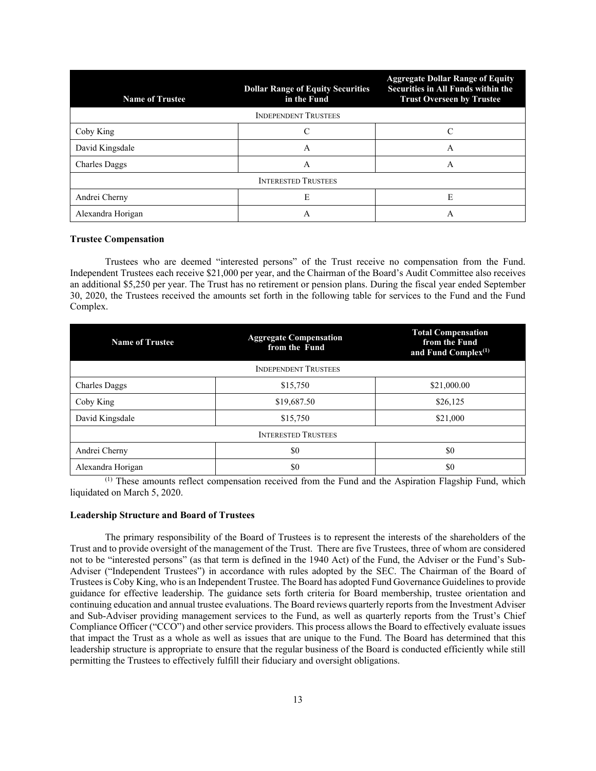| <b>Name of Trustee</b>      | <b>Aggregate Dollar Range of Equity</b><br>Securities in All Funds within the<br><b>Trust Overseen by Trustee</b> |   |  |  |  |  |
|-----------------------------|-------------------------------------------------------------------------------------------------------------------|---|--|--|--|--|
| <b>INDEPENDENT TRUSTEES</b> |                                                                                                                   |   |  |  |  |  |
| Coby King                   |                                                                                                                   | C |  |  |  |  |
| David Kingsdale             | A                                                                                                                 | A |  |  |  |  |
| <b>Charles Daggs</b>        | A                                                                                                                 |   |  |  |  |  |
| <b>INTERESTED TRUSTEES</b>  |                                                                                                                   |   |  |  |  |  |
| Andrei Cherny               | E                                                                                                                 | E |  |  |  |  |
| Alexandra Horigan           | A                                                                                                                 | Α |  |  |  |  |

#### **Trustee Compensation**

Trustees who are deemed "interested persons" of the Trust receive no compensation from the Fund. Independent Trustees each receive \$21,000 per year, and the Chairman of the Board's Audit Committee also receives an additional \$5,250 per year. The Trust has no retirement or pension plans. During the fiscal year ended September 30, 2020, the Trustees received the amounts set forth in the following table for services to the Fund and the Fund Complex.

| <b>Aggregate Compensation</b><br><b>Name of Trustee</b><br>from the Fund |                             | <b>Total Compensation</b><br>from the Fund<br>and Fund Complex <sup>(1)</sup> |  |  |  |
|--------------------------------------------------------------------------|-----------------------------|-------------------------------------------------------------------------------|--|--|--|
|                                                                          | <b>INDEPENDENT TRUSTEES</b> |                                                                               |  |  |  |
| <b>Charles Daggs</b>                                                     | \$15,750                    | \$21,000.00                                                                   |  |  |  |
| Coby King                                                                | \$19,687.50                 | \$26,125                                                                      |  |  |  |
| David Kingsdale                                                          | \$15,750                    | \$21,000                                                                      |  |  |  |
| <b>INTERESTED TRUSTEES</b>                                               |                             |                                                                               |  |  |  |
| Andrei Cherny                                                            | \$0                         | \$0                                                                           |  |  |  |
| Alexandra Horigan                                                        | \$0                         | \$0                                                                           |  |  |  |

<sup>(1)</sup> These amounts reflect compensation received from the Fund and the Aspiration Flagship Fund, which liquidated on March 5, 2020.

### **Leadership Structure and Board of Trustees**

The primary responsibility of the Board of Trustees is to represent the interests of the shareholders of the Trust and to provide oversight of the management of the Trust. There are five Trustees, three of whom are considered not to be "interested persons" (as that term is defined in the 1940 Act) of the Fund, the Adviser or the Fund's Sub-Adviser ("Independent Trustees") in accordance with rules adopted by the SEC. The Chairman of the Board of Trustees is Coby King, who is an Independent Trustee. The Board has adopted Fund Governance Guidelines to provide guidance for effective leadership. The guidance sets forth criteria for Board membership, trustee orientation and continuing education and annual trustee evaluations. The Board reviews quarterly reports from the Investment Adviser and Sub-Adviser providing management services to the Fund, as well as quarterly reports from the Trust's Chief Compliance Officer ("CCO") and other service providers. This process allows the Board to effectively evaluate issues that impact the Trust as a whole as well as issues that are unique to the Fund. The Board has determined that this leadership structure is appropriate to ensure that the regular business of the Board is conducted efficiently while still permitting the Trustees to effectively fulfill their fiduciary and oversight obligations.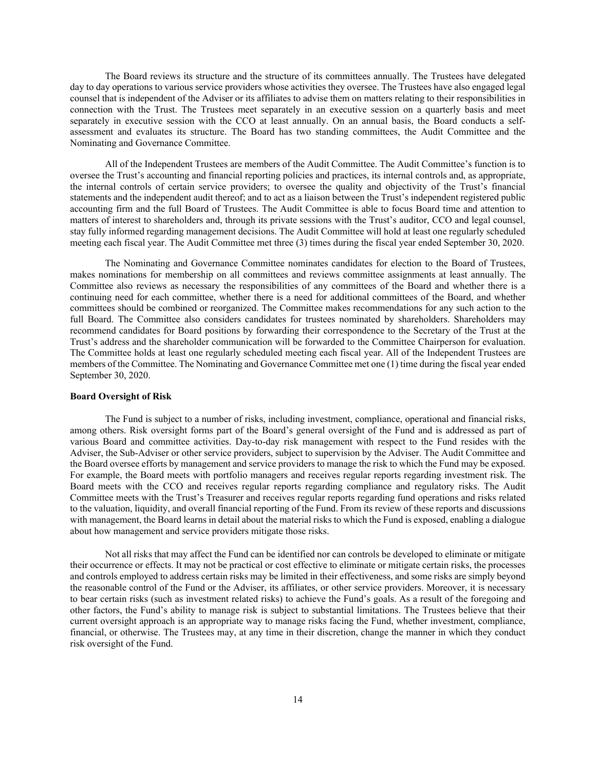The Board reviews its structure and the structure of its committees annually. The Trustees have delegated day to day operations to various service providers whose activities they oversee. The Trustees have also engaged legal counsel that is independent of the Adviser or its affiliates to advise them on matters relating to their responsibilities in connection with the Trust. The Trustees meet separately in an executive session on a quarterly basis and meet separately in executive session with the CCO at least annually. On an annual basis, the Board conducts a selfassessment and evaluates its structure. The Board has two standing committees, the Audit Committee and the Nominating and Governance Committee.

All of the Independent Trustees are members of the Audit Committee. The Audit Committee's function is to oversee the Trust's accounting and financial reporting policies and practices, its internal controls and, as appropriate, the internal controls of certain service providers; to oversee the quality and objectivity of the Trust's financial statements and the independent audit thereof; and to act as a liaison between the Trust's independent registered public accounting firm and the full Board of Trustees. The Audit Committee is able to focus Board time and attention to matters of interest to shareholders and, through its private sessions with the Trust's auditor, CCO and legal counsel, stay fully informed regarding management decisions. The Audit Committee will hold at least one regularly scheduled meeting each fiscal year. The Audit Committee met three (3) times during the fiscal year ended September 30, 2020.

The Nominating and Governance Committee nominates candidates for election to the Board of Trustees, makes nominations for membership on all committees and reviews committee assignments at least annually. The Committee also reviews as necessary the responsibilities of any committees of the Board and whether there is a continuing need for each committee, whether there is a need for additional committees of the Board, and whether committees should be combined or reorganized. The Committee makes recommendations for any such action to the full Board. The Committee also considers candidates for trustees nominated by shareholders. Shareholders may recommend candidates for Board positions by forwarding their correspondence to the Secretary of the Trust at the Trust's address and the shareholder communication will be forwarded to the Committee Chairperson for evaluation. The Committee holds at least one regularly scheduled meeting each fiscal year. All of the Independent Trustees are members of the Committee. The Nominating and Governance Committee met one (1) time during the fiscal year ended September 30, 2020.

### **Board Oversight of Risk**

The Fund is subject to a number of risks, including investment, compliance, operational and financial risks, among others. Risk oversight forms part of the Board's general oversight of the Fund and is addressed as part of various Board and committee activities. Day-to-day risk management with respect to the Fund resides with the Adviser, the Sub-Adviser or other service providers, subject to supervision by the Adviser. The Audit Committee and the Board oversee efforts by management and service providers to manage the risk to which the Fund may be exposed. For example, the Board meets with portfolio managers and receives regular reports regarding investment risk. The Board meets with the CCO and receives regular reports regarding compliance and regulatory risks. The Audit Committee meets with the Trust's Treasurer and receives regular reports regarding fund operations and risks related to the valuation, liquidity, and overall financial reporting of the Fund. From its review of these reports and discussions with management, the Board learns in detail about the material risks to which the Fund is exposed, enabling a dialogue about how management and service providers mitigate those risks.

Not all risks that may affect the Fund can be identified nor can controls be developed to eliminate or mitigate their occurrence or effects. It may not be practical or cost effective to eliminate or mitigate certain risks, the processes and controls employed to address certain risks may be limited in their effectiveness, and some risks are simply beyond the reasonable control of the Fund or the Adviser, its affiliates, or other service providers. Moreover, it is necessary to bear certain risks (such as investment related risks) to achieve the Fund's goals. As a result of the foregoing and other factors, the Fund's ability to manage risk is subject to substantial limitations. The Trustees believe that their current oversight approach is an appropriate way to manage risks facing the Fund, whether investment, compliance, financial, or otherwise. The Trustees may, at any time in their discretion, change the manner in which they conduct risk oversight of the Fund.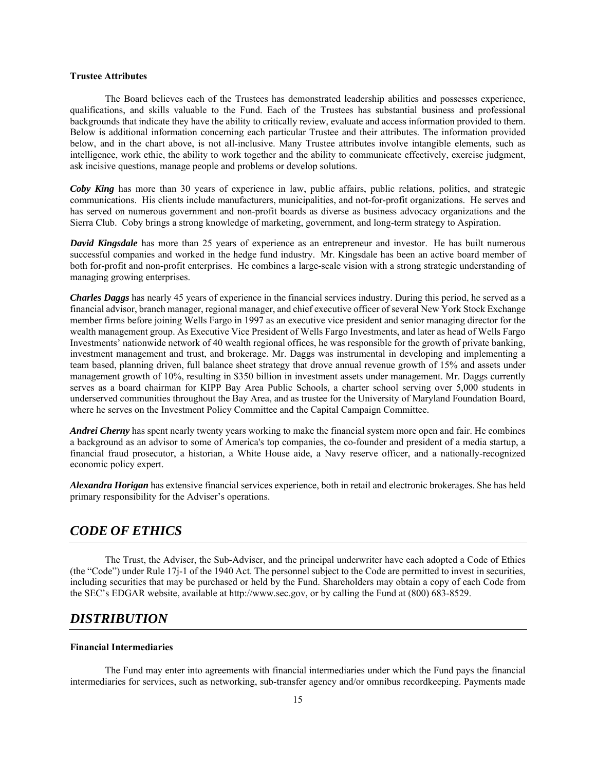### **Trustee Attributes**

The Board believes each of the Trustees has demonstrated leadership abilities and possesses experience, qualifications, and skills valuable to the Fund. Each of the Trustees has substantial business and professional backgrounds that indicate they have the ability to critically review, evaluate and access information provided to them. Below is additional information concerning each particular Trustee and their attributes. The information provided below, and in the chart above, is not all-inclusive. Many Trustee attributes involve intangible elements, such as intelligence, work ethic, the ability to work together and the ability to communicate effectively, exercise judgment, ask incisive questions, manage people and problems or develop solutions.

*Coby King* has more than 30 years of experience in law, public affairs, public relations, politics, and strategic communications. His clients include manufacturers, municipalities, and not-for-profit organizations. He serves and has served on numerous government and non-profit boards as diverse as business advocacy organizations and the Sierra Club. Coby brings a strong knowledge of marketing, government, and long-term strategy to Aspiration.

*David Kingsdale* has more than 25 years of experience as an entrepreneur and investor. He has built numerous successful companies and worked in the hedge fund industry. Mr. Kingsdale has been an active board member of both for-profit and non-profit enterprises. He combines a large-scale vision with a strong strategic understanding of managing growing enterprises.

*Charles Daggs* has nearly 45 years of experience in the financial services industry. During this period, he served as a financial advisor, branch manager, regional manager, and chief executive officer of several New York Stock Exchange member firms before joining Wells Fargo in 1997 as an executive vice president and senior managing director for the wealth management group. As Executive Vice President of Wells Fargo Investments, and later as head of Wells Fargo Investments' nationwide network of 40 wealth regional offices, he was responsible for the growth of private banking, investment management and trust, and brokerage. Mr. Daggs was instrumental in developing and implementing a team based, planning driven, full balance sheet strategy that drove annual revenue growth of 15% and assets under management growth of 10%, resulting in \$350 billion in investment assets under management. Mr. Daggs currently serves as a board chairman for KIPP Bay Area Public Schools, a charter school serving over 5,000 students in underserved communities throughout the Bay Area, and as trustee for the University of Maryland Foundation Board, where he serves on the Investment Policy Committee and the Capital Campaign Committee.

*Andrei Cherny* has spent nearly twenty years working to make the financial system more open and fair. He combines a background as an advisor to some of America's top companies, the co-founder and president of a media startup, a financial fraud prosecutor, a historian, a White House aide, a Navy reserve officer, and a nationally-recognized economic policy expert.

*Alexandra Horigan* has extensive financial services experience, both in retail and electronic brokerages. She has held primary responsibility for the Adviser's operations.

# *CODE OF ETHICS*

The Trust, the Adviser, the Sub-Adviser, and the principal underwriter have each adopted a Code of Ethics (the "Code") under Rule 17j-1 of the 1940 Act. The personnel subject to the Code are permitted to invest in securities, including securities that may be purchased or held by the Fund. Shareholders may obtain a copy of each Code from the SEC's EDGAR website, available at http://www.sec.gov, or by calling the Fund at (800) 683-8529.

# *DISTRIBUTION*

#### **Financial Intermediaries**

The Fund may enter into agreements with financial intermediaries under which the Fund pays the financial intermediaries for services, such as networking, sub-transfer agency and/or omnibus recordkeeping. Payments made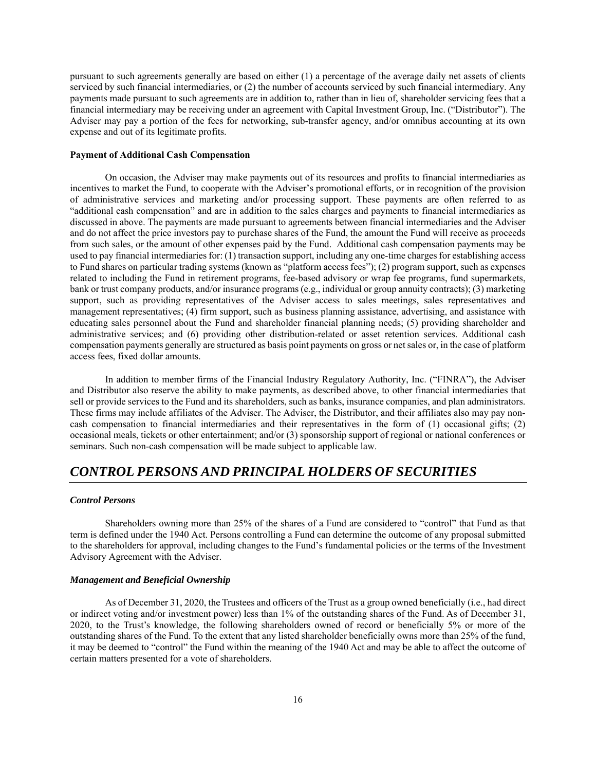pursuant to such agreements generally are based on either (1) a percentage of the average daily net assets of clients serviced by such financial intermediaries, or (2) the number of accounts serviced by such financial intermediary. Any payments made pursuant to such agreements are in addition to, rather than in lieu of, shareholder servicing fees that a financial intermediary may be receiving under an agreement with Capital Investment Group, Inc. ("Distributor"). The Adviser may pay a portion of the fees for networking, sub-transfer agency, and/or omnibus accounting at its own expense and out of its legitimate profits.

### **Payment of Additional Cash Compensation**

On occasion, the Adviser may make payments out of its resources and profits to financial intermediaries as incentives to market the Fund, to cooperate with the Adviser's promotional efforts, or in recognition of the provision of administrative services and marketing and/or processing support. These payments are often referred to as "additional cash compensation" and are in addition to the sales charges and payments to financial intermediaries as discussed in above. The payments are made pursuant to agreements between financial intermediaries and the Adviser and do not affect the price investors pay to purchase shares of the Fund, the amount the Fund will receive as proceeds from such sales, or the amount of other expenses paid by the Fund. Additional cash compensation payments may be used to pay financial intermediaries for: (1) transaction support, including any one-time charges for establishing access to Fund shares on particular trading systems (known as "platform access fees"); (2) program support, such as expenses related to including the Fund in retirement programs, fee-based advisory or wrap fee programs, fund supermarkets, bank or trust company products, and/or insurance programs (e.g., individual or group annuity contracts); (3) marketing support, such as providing representatives of the Adviser access to sales meetings, sales representatives and management representatives; (4) firm support, such as business planning assistance, advertising, and assistance with educating sales personnel about the Fund and shareholder financial planning needs; (5) providing shareholder and administrative services; and (6) providing other distribution-related or asset retention services. Additional cash compensation payments generally are structured as basis point payments on gross or net sales or, in the case of platform access fees, fixed dollar amounts.

In addition to member firms of the Financial Industry Regulatory Authority, Inc. ("FINRA"), the Adviser and Distributor also reserve the ability to make payments, as described above, to other financial intermediaries that sell or provide services to the Fund and its shareholders, such as banks, insurance companies, and plan administrators. These firms may include affiliates of the Adviser. The Adviser, the Distributor, and their affiliates also may pay noncash compensation to financial intermediaries and their representatives in the form of (1) occasional gifts; (2) occasional meals, tickets or other entertainment; and/or (3) sponsorship support of regional or national conferences or seminars. Such non-cash compensation will be made subject to applicable law.

# *CONTROL PERSONS AND PRINCIPAL HOLDERS OF SECURITIES*

#### *Control Persons*

Shareholders owning more than 25% of the shares of a Fund are considered to "control" that Fund as that term is defined under the 1940 Act. Persons controlling a Fund can determine the outcome of any proposal submitted to the shareholders for approval, including changes to the Fund's fundamental policies or the terms of the Investment Advisory Agreement with the Adviser.

### *Management and Beneficial Ownership*

As of December 31, 2020, the Trustees and officers of the Trust as a group owned beneficially (i.e., had direct or indirect voting and/or investment power) less than 1% of the outstanding shares of the Fund. As of December 31, 2020, to the Trust's knowledge, the following shareholders owned of record or beneficially 5% or more of the outstanding shares of the Fund. To the extent that any listed shareholder beneficially owns more than 25% of the fund, it may be deemed to "control" the Fund within the meaning of the 1940 Act and may be able to affect the outcome of certain matters presented for a vote of shareholders.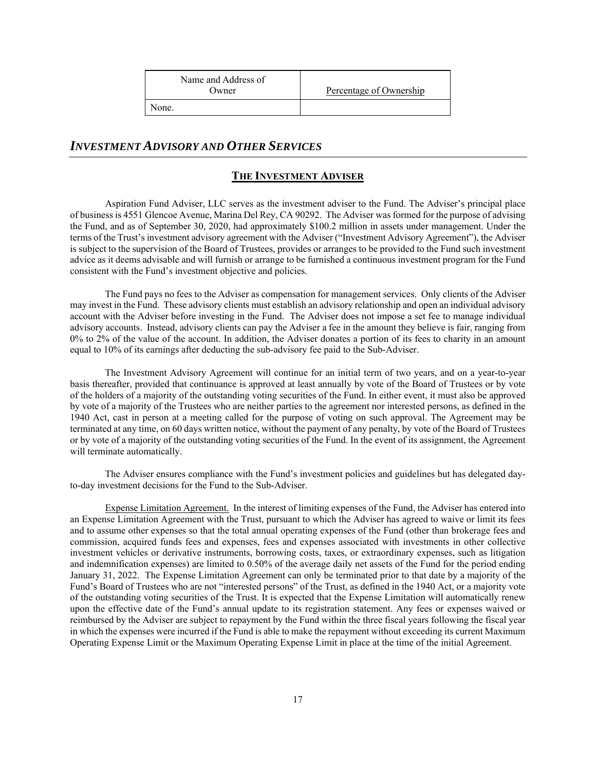| Name and Address of |            |
|---------------------|------------|
| Owner               | Percentage |
|                     |            |

None.

# e of Ownership

# *INVESTMENT ADVISORY AND OTHER SERVICES*

# **THE INVESTMENT ADVISER**

Aspiration Fund Adviser, LLC serves as the investment adviser to the Fund. The Adviser's principal place of business is 4551 Glencoe Avenue, Marina Del Rey, CA 90292. The Adviser was formed for the purpose of advising the Fund, and as of September 30, 2020, had approximately \$100.2 million in assets under management. Under the terms of the Trust's investment advisory agreement with the Adviser ("Investment Advisory Agreement"), the Adviser is subject to the supervision of the Board of Trustees, provides or arranges to be provided to the Fund such investment advice as it deems advisable and will furnish or arrange to be furnished a continuous investment program for the Fund consistent with the Fund's investment objective and policies.

The Fund pays no fees to the Adviser as compensation for management services. Only clients of the Adviser may invest in the Fund. These advisory clients must establish an advisory relationship and open an individual advisory account with the Adviser before investing in the Fund. The Adviser does not impose a set fee to manage individual advisory accounts. Instead, advisory clients can pay the Adviser a fee in the amount they believe is fair, ranging from 0% to 2% of the value of the account. In addition, the Adviser donates a portion of its fees to charity in an amount equal to 10% of its earnings after deducting the sub-advisory fee paid to the Sub-Adviser.

The Investment Advisory Agreement will continue for an initial term of two years, and on a year-to-year basis thereafter, provided that continuance is approved at least annually by vote of the Board of Trustees or by vote of the holders of a majority of the outstanding voting securities of the Fund. In either event, it must also be approved by vote of a majority of the Trustees who are neither parties to the agreement nor interested persons, as defined in the 1940 Act, cast in person at a meeting called for the purpose of voting on such approval. The Agreement may be terminated at any time, on 60 days written notice, without the payment of any penalty, by vote of the Board of Trustees or by vote of a majority of the outstanding voting securities of the Fund. In the event of its assignment, the Agreement will terminate automatically.

The Adviser ensures compliance with the Fund's investment policies and guidelines but has delegated dayto-day investment decisions for the Fund to the Sub-Adviser.

Expense Limitation Agreement.In the interest of limiting expenses of the Fund, the Adviser has entered into an Expense Limitation Agreement with the Trust, pursuant to which the Adviser has agreed to waive or limit its fees and to assume other expenses so that the total annual operating expenses of the Fund (other than brokerage fees and commission, acquired funds fees and expenses, fees and expenses associated with investments in other collective investment vehicles or derivative instruments, borrowing costs, taxes, or extraordinary expenses, such as litigation and indemnification expenses) are limited to 0.50% of the average daily net assets of the Fund for the period ending January 31, 2022. The Expense Limitation Agreement can only be terminated prior to that date by a majority of the Fund's Board of Trustees who are not "interested persons" of the Trust, as defined in the 1940 Act, or a majority vote of the outstanding voting securities of the Trust. It is expected that the Expense Limitation will automatically renew upon the effective date of the Fund's annual update to its registration statement. Any fees or expenses waived or reimbursed by the Adviser are subject to repayment by the Fund within the three fiscal years following the fiscal year in which the expenses were incurred if the Fund is able to make the repayment without exceeding its current Maximum Operating Expense Limit or the Maximum Operating Expense Limit in place at the time of the initial Agreement.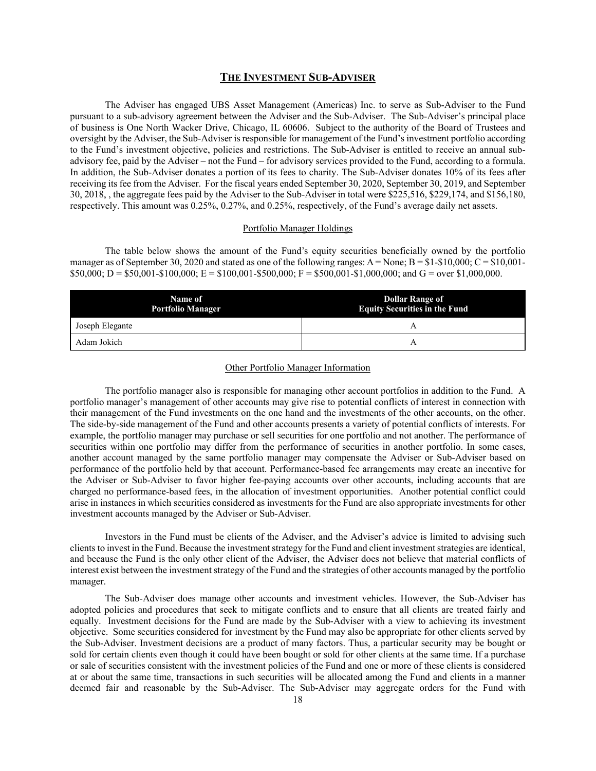### **THE INVESTMENT SUB-ADVISER**

The Adviser has engaged UBS Asset Management (Americas) Inc. to serve as Sub-Adviser to the Fund pursuant to a sub-advisory agreement between the Adviser and the Sub-Adviser. The Sub-Adviser's principal place of business is One North Wacker Drive, Chicago, IL 60606. Subject to the authority of the Board of Trustees and oversight by the Adviser, the Sub-Adviser is responsible for management of the Fund's investment portfolio according to the Fund's investment objective, policies and restrictions. The Sub-Adviser is entitled to receive an annual subadvisory fee, paid by the Adviser – not the Fund – for advisory services provided to the Fund, according to a formula. In addition, the Sub-Adviser donates a portion of its fees to charity. The Sub-Adviser donates 10% of its fees after receiving its fee from the Adviser. For the fiscal years ended September 30, 2020, September 30, 2019, and September 30, 2018, , the aggregate fees paid by the Adviser to the Sub-Adviser in total were \$225,516, \$229,174, and \$156,180, respectively. This amount was 0.25%, 0.27%, and 0.25%, respectively, of the Fund's average daily net assets.

#### Portfolio Manager Holdings

The table below shows the amount of the Fund's equity securities beneficially owned by the portfolio manager as of September 30, 2020 and stated as one of the following ranges:  $A = None$ ;  $B = $1-$10,000$ ;  $C = $10,001$ - $$50,000; D = $50,001 - $100,000; E = $100,001 - $500,000; F = $500,001 - $1,000,000;$  and G = over \$1,000,000.

| Name of<br><b>Portfolio Manager</b> | <b>Dollar Range of</b><br><b>Equity Securities in the Fund</b> |
|-------------------------------------|----------------------------------------------------------------|
| Joseph Elegante                     |                                                                |
| Adam Jokich                         |                                                                |

### Other Portfolio Manager Information

The portfolio manager also is responsible for managing other account portfolios in addition to the Fund. A portfolio manager's management of other accounts may give rise to potential conflicts of interest in connection with their management of the Fund investments on the one hand and the investments of the other accounts, on the other. The side-by-side management of the Fund and other accounts presents a variety of potential conflicts of interests. For example, the portfolio manager may purchase or sell securities for one portfolio and not another. The performance of securities within one portfolio may differ from the performance of securities in another portfolio. In some cases, another account managed by the same portfolio manager may compensate the Adviser or Sub-Adviser based on performance of the portfolio held by that account. Performance-based fee arrangements may create an incentive for the Adviser or Sub-Adviser to favor higher fee-paying accounts over other accounts, including accounts that are charged no performance-based fees, in the allocation of investment opportunities. Another potential conflict could arise in instances in which securities considered as investments for the Fund are also appropriate investments for other investment accounts managed by the Adviser or Sub-Adviser.

Investors in the Fund must be clients of the Adviser, and the Adviser's advice is limited to advising such clients to invest in the Fund. Because the investment strategy for the Fund and client investment strategies are identical, and because the Fund is the only other client of the Adviser, the Adviser does not believe that material conflicts of interest exist between the investment strategy of the Fund and the strategies of other accounts managed by the portfolio manager.

The Sub-Adviser does manage other accounts and investment vehicles. However, the Sub-Adviser has adopted policies and procedures that seek to mitigate conflicts and to ensure that all clients are treated fairly and equally. Investment decisions for the Fund are made by the Sub-Adviser with a view to achieving its investment objective. Some securities considered for investment by the Fund may also be appropriate for other clients served by the Sub-Adviser. Investment decisions are a product of many factors. Thus, a particular security may be bought or sold for certain clients even though it could have been bought or sold for other clients at the same time. If a purchase or sale of securities consistent with the investment policies of the Fund and one or more of these clients is considered at or about the same time, transactions in such securities will be allocated among the Fund and clients in a manner deemed fair and reasonable by the Sub-Adviser. The Sub-Adviser may aggregate orders for the Fund with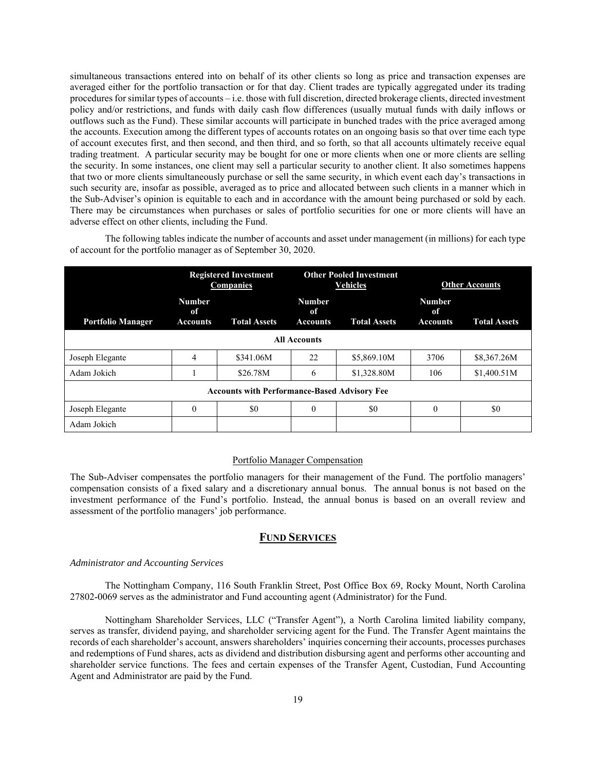simultaneous transactions entered into on behalf of its other clients so long as price and transaction expenses are averaged either for the portfolio transaction or for that day. Client trades are typically aggregated under its trading procedures for similar types of accounts – i.e. those with full discretion, directed brokerage clients, directed investment policy and/or restrictions, and funds with daily cash flow differences (usually mutual funds with daily inflows or outflows such as the Fund). These similar accounts will participate in bunched trades with the price averaged among the accounts. Execution among the different types of accounts rotates on an ongoing basis so that over time each type of account executes first, and then second, and then third, and so forth, so that all accounts ultimately receive equal trading treatment. A particular security may be bought for one or more clients when one or more clients are selling the security. In some instances, one client may sell a particular security to another client. It also sometimes happens that two or more clients simultaneously purchase or sell the same security, in which event each day's transactions in such security are, insofar as possible, averaged as to price and allocated between such clients in a manner which in the Sub-Adviser's opinion is equitable to each and in accordance with the amount being purchased or sold by each. There may be circumstances when purchases or sales of portfolio securities for one or more clients will have an adverse effect on other clients, including the Fund.

The following tables indicate the number of accounts and asset under management (in millions) for each type of account for the portfolio manager as of September 30, 2020.

|                                                     | <b>Registered Investment</b><br><b>Companies</b> |                     | <b>Other Pooled Investment</b><br><b>Vehicles</b> |                     |                                        | <b>Other Accounts</b> |
|-----------------------------------------------------|--------------------------------------------------|---------------------|---------------------------------------------------|---------------------|----------------------------------------|-----------------------|
| <b>Portfolio Manager</b>                            | <b>Number</b><br>оf<br><b>Accounts</b>           | <b>Total Assets</b> | <b>Number</b><br>оf<br><b>Accounts</b>            | <b>Total Assets</b> | <b>Number</b><br>оf<br><b>Accounts</b> | <b>Total Assets</b>   |
| <b>All Accounts</b>                                 |                                                  |                     |                                                   |                     |                                        |                       |
| Joseph Elegante                                     | 4                                                | \$341.06M           | 22                                                | \$5,869.10M         | 3706                                   | \$8,367.26M           |
| Adam Jokich                                         |                                                  | \$26.78M            | 6                                                 | \$1,328.80M         | 106                                    | \$1,400.51M           |
| <b>Accounts with Performance-Based Advisory Fee</b> |                                                  |                     |                                                   |                     |                                        |                       |
| Joseph Elegante                                     | $\theta$                                         | \$0                 | $\theta$                                          | \$0                 | $\theta$                               | \$0                   |
| Adam Jokich                                         |                                                  |                     |                                                   |                     |                                        |                       |

### Portfolio Manager Compensation

The Sub-Adviser compensates the portfolio managers for their management of the Fund. The portfolio managers' compensation consists of a fixed salary and a discretionary annual bonus. The annual bonus is not based on the investment performance of the Fund's portfolio. Instead, the annual bonus is based on an overall review and assessment of the portfolio managers' job performance.

### **FUND SERVICES**

### *Administrator and Accounting Services*

The Nottingham Company, 116 South Franklin Street, Post Office Box 69, Rocky Mount, North Carolina 27802-0069 serves as the administrator and Fund accounting agent (Administrator) for the Fund.

Nottingham Shareholder Services, LLC ("Transfer Agent"), a North Carolina limited liability company, serves as transfer, dividend paying, and shareholder servicing agent for the Fund. The Transfer Agent maintains the records of each shareholder's account, answers shareholders' inquiries concerning their accounts, processes purchases and redemptions of Fund shares, acts as dividend and distribution disbursing agent and performs other accounting and shareholder service functions. The fees and certain expenses of the Transfer Agent, Custodian, Fund Accounting Agent and Administrator are paid by the Fund.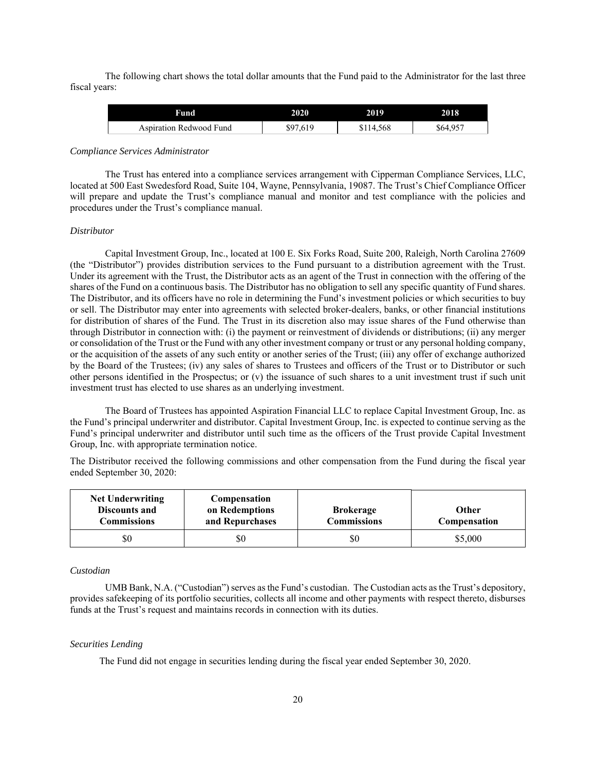The following chart shows the total dollar amounts that the Fund paid to the Administrator for the last three fiscal years:

| Fund                           | 2020     | 2019      | 2018     |
|--------------------------------|----------|-----------|----------|
| <b>Aspiration Redwood Fund</b> | \$97,619 | \$114,568 | \$64,957 |

#### *Compliance Services Administrator*

The Trust has entered into a compliance services arrangement with Cipperman Compliance Services, LLC, located at 500 East Swedesford Road, Suite 104, Wayne, Pennsylvania, 19087. The Trust's Chief Compliance Officer will prepare and update the Trust's compliance manual and monitor and test compliance with the policies and procedures under the Trust's compliance manual.

#### *Distributor*

Capital Investment Group, Inc., located at 100 E. Six Forks Road, Suite 200, Raleigh, North Carolina 27609 (the "Distributor") provides distribution services to the Fund pursuant to a distribution agreement with the Trust. Under its agreement with the Trust, the Distributor acts as an agent of the Trust in connection with the offering of the shares of the Fund on a continuous basis. The Distributor has no obligation to sell any specific quantity of Fund shares. The Distributor, and its officers have no role in determining the Fund's investment policies or which securities to buy or sell. The Distributor may enter into agreements with selected broker-dealers, banks, or other financial institutions for distribution of shares of the Fund. The Trust in its discretion also may issue shares of the Fund otherwise than through Distributor in connection with: (i) the payment or reinvestment of dividends or distributions; (ii) any merger or consolidation of the Trust or the Fund with any other investment company or trust or any personal holding company, or the acquisition of the assets of any such entity or another series of the Trust; (iii) any offer of exchange authorized by the Board of the Trustees; (iv) any sales of shares to Trustees and officers of the Trust or to Distributor or such other persons identified in the Prospectus; or (v) the issuance of such shares to a unit investment trust if such unit investment trust has elected to use shares as an underlying investment.

The Board of Trustees has appointed Aspiration Financial LLC to replace Capital Investment Group, Inc. as the Fund's principal underwriter and distributor. Capital Investment Group, Inc. is expected to continue serving as the Fund's principal underwriter and distributor until such time as the officers of the Trust provide Capital Investment Group, Inc. with appropriate termination notice.

The Distributor received the following commissions and other compensation from the Fund during the fiscal year ended September 30, 2020:

| <b>Net Underwriting</b><br>Discounts and<br>Commissions | Compensation<br>on Redemptions<br>and Repurchases | <b>Brokerage</b><br><b>Commissions</b> | <b>Other</b><br>Compensation |
|---------------------------------------------------------|---------------------------------------------------|----------------------------------------|------------------------------|
| \$0                                                     | \$0                                               | \$0                                    | \$5,000                      |

#### *Custodian*

 UMB Bank, N.A. ("Custodian") serves as the Fund's custodian. The Custodian acts as the Trust's depository, provides safekeeping of its portfolio securities, collects all income and other payments with respect thereto, disburses funds at the Trust's request and maintains records in connection with its duties.

#### *Securities Lending*

The Fund did not engage in securities lending during the fiscal year ended September 30, 2020.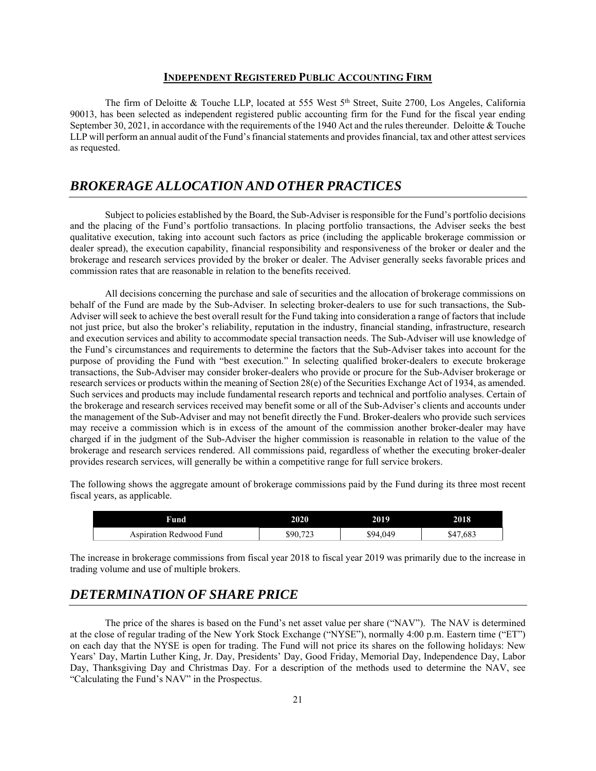### **INDEPENDENT REGISTERED PUBLIC ACCOUNTING FIRM**

The firm of Deloitte & Touche LLP, located at 555 West 5<sup>th</sup> Street, Suite 2700, Los Angeles, California 90013, has been selected as independent registered public accounting firm for the Fund for the fiscal year ending September 30, 2021, in accordance with the requirements of the 1940 Act and the rules thereunder. Deloitte & Touche LLP will perform an annual audit of the Fund's financial statements and provides financial, tax and other attest services as requested.

# *BROKERAGE ALLOCATION AND OTHER PRACTICES*

Subject to policies established by the Board, the Sub-Adviser is responsible for the Fund's portfolio decisions and the placing of the Fund's portfolio transactions. In placing portfolio transactions, the Adviser seeks the best qualitative execution, taking into account such factors as price (including the applicable brokerage commission or dealer spread), the execution capability, financial responsibility and responsiveness of the broker or dealer and the brokerage and research services provided by the broker or dealer. The Adviser generally seeks favorable prices and commission rates that are reasonable in relation to the benefits received.

All decisions concerning the purchase and sale of securities and the allocation of brokerage commissions on behalf of the Fund are made by the Sub-Adviser. In selecting broker-dealers to use for such transactions, the Sub-Adviser will seek to achieve the best overall result for the Fund taking into consideration a range of factors that include not just price, but also the broker's reliability, reputation in the industry, financial standing, infrastructure, research and execution services and ability to accommodate special transaction needs. The Sub-Adviser will use knowledge of the Fund's circumstances and requirements to determine the factors that the Sub-Adviser takes into account for the purpose of providing the Fund with "best execution." In selecting qualified broker-dealers to execute brokerage transactions, the Sub-Adviser may consider broker-dealers who provide or procure for the Sub-Adviser brokerage or research services or products within the meaning of Section 28(e) of the Securities Exchange Act of 1934, as amended. Such services and products may include fundamental research reports and technical and portfolio analyses. Certain of the brokerage and research services received may benefit some or all of the Sub-Adviser's clients and accounts under the management of the Sub-Adviser and may not benefit directly the Fund. Broker-dealers who provide such services may receive a commission which is in excess of the amount of the commission another broker-dealer may have charged if in the judgment of the Sub-Adviser the higher commission is reasonable in relation to the value of the brokerage and research services rendered. All commissions paid, regardless of whether the executing broker-dealer provides research services, will generally be within a competitive range for full service brokers.

The following shows the aggregate amount of brokerage commissions paid by the Fund during its three most recent fiscal years, as applicable.

| Fund                      | 2020                | 2019     | 2018     |
|---------------------------|---------------------|----------|----------|
| Redwood Fund<br>sniration | $\mathbf{a}$<br>890 | \$94.049 | \$47,683 |

The increase in brokerage commissions from fiscal year 2018 to fiscal year 2019 was primarily due to the increase in trading volume and use of multiple brokers.

# *DETERMINATION OF SHARE PRICE*

The price of the shares is based on the Fund's net asset value per share ("NAV"). The NAV is determined at the close of regular trading of the New York Stock Exchange ("NYSE"), normally 4:00 p.m. Eastern time ("ET") on each day that the NYSE is open for trading. The Fund will not price its shares on the following holidays: New Years' Day, Martin Luther King, Jr. Day, Presidents' Day, Good Friday, Memorial Day, Independence Day, Labor Day, Thanksgiving Day and Christmas Day. For a description of the methods used to determine the NAV, see "Calculating the Fund's NAV" in the Prospectus.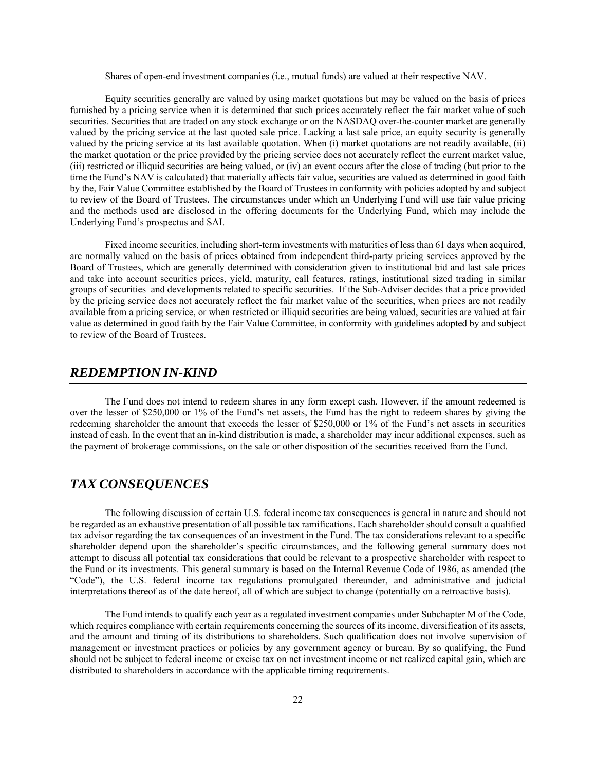Shares of open-end investment companies (i.e., mutual funds) are valued at their respective NAV.

Equity securities generally are valued by using market quotations but may be valued on the basis of prices furnished by a pricing service when it is determined that such prices accurately reflect the fair market value of such securities. Securities that are traded on any stock exchange or on the NASDAQ over-the-counter market are generally valued by the pricing service at the last quoted sale price. Lacking a last sale price, an equity security is generally valued by the pricing service at its last available quotation. When (i) market quotations are not readily available, (ii) the market quotation or the price provided by the pricing service does not accurately reflect the current market value, (iii) restricted or illiquid securities are being valued, or (iv) an event occurs after the close of trading (but prior to the time the Fund's NAV is calculated) that materially affects fair value, securities are valued as determined in good faith by the, Fair Value Committee established by the Board of Trustees in conformity with policies adopted by and subject to review of the Board of Trustees. The circumstances under which an Underlying Fund will use fair value pricing and the methods used are disclosed in the offering documents for the Underlying Fund, which may include the Underlying Fund's prospectus and SAI.

Fixed income securities, including short-term investments with maturities of less than 61 days when acquired, are normally valued on the basis of prices obtained from independent third-party pricing services approved by the Board of Trustees, which are generally determined with consideration given to institutional bid and last sale prices and take into account securities prices, yield, maturity, call features, ratings, institutional sized trading in similar groups of securities and developments related to specific securities. If the Sub-Adviser decides that a price provided by the pricing service does not accurately reflect the fair market value of the securities, when prices are not readily available from a pricing service, or when restricted or illiquid securities are being valued, securities are valued at fair value as determined in good faith by the Fair Value Committee, in conformity with guidelines adopted by and subject to review of the Board of Trustees.

# *REDEMPTION IN-KIND*

The Fund does not intend to redeem shares in any form except cash. However, if the amount redeemed is over the lesser of \$250,000 or 1% of the Fund's net assets, the Fund has the right to redeem shares by giving the redeeming shareholder the amount that exceeds the lesser of \$250,000 or 1% of the Fund's net assets in securities instead of cash. In the event that an in-kind distribution is made, a shareholder may incur additional expenses, such as the payment of brokerage commissions, on the sale or other disposition of the securities received from the Fund.

# *TAX CONSEQUENCES*

The following discussion of certain U.S. federal income tax consequences is general in nature and should not be regarded as an exhaustive presentation of all possible tax ramifications. Each shareholder should consult a qualified tax advisor regarding the tax consequences of an investment in the Fund. The tax considerations relevant to a specific shareholder depend upon the shareholder's specific circumstances, and the following general summary does not attempt to discuss all potential tax considerations that could be relevant to a prospective shareholder with respect to the Fund or its investments. This general summary is based on the Internal Revenue Code of 1986, as amended (the "Code"), the U.S. federal income tax regulations promulgated thereunder, and administrative and judicial interpretations thereof as of the date hereof, all of which are subject to change (potentially on a retroactive basis).

The Fund intends to qualify each year as a regulated investment companies under Subchapter M of the Code, which requires compliance with certain requirements concerning the sources of its income, diversification of its assets, and the amount and timing of its distributions to shareholders. Such qualification does not involve supervision of management or investment practices or policies by any government agency or bureau. By so qualifying, the Fund should not be subject to federal income or excise tax on net investment income or net realized capital gain, which are distributed to shareholders in accordance with the applicable timing requirements.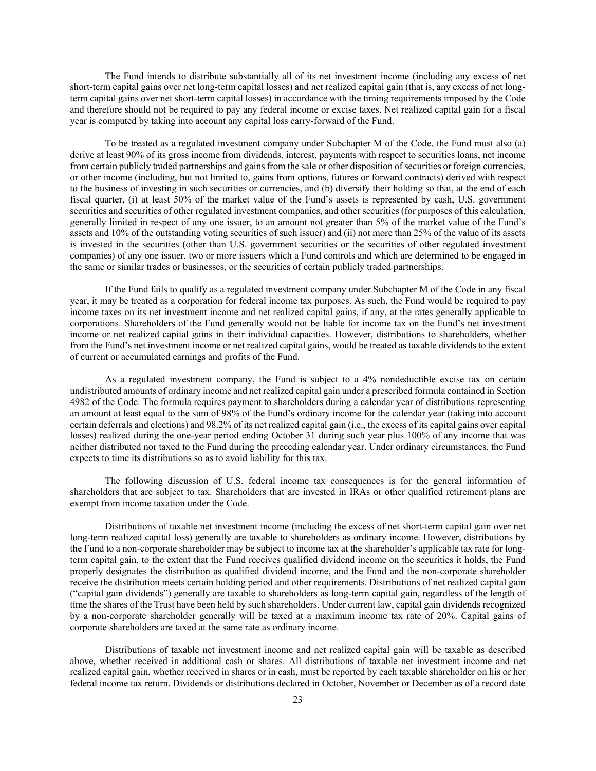The Fund intends to distribute substantially all of its net investment income (including any excess of net short-term capital gains over net long-term capital losses) and net realized capital gain (that is, any excess of net longterm capital gains over net short-term capital losses) in accordance with the timing requirements imposed by the Code and therefore should not be required to pay any federal income or excise taxes. Net realized capital gain for a fiscal year is computed by taking into account any capital loss carry-forward of the Fund.

To be treated as a regulated investment company under Subchapter M of the Code, the Fund must also (a) derive at least 90% of its gross income from dividends, interest, payments with respect to securities loans, net income from certain publicly traded partnerships and gains from the sale or other disposition of securities or foreign currencies, or other income (including, but not limited to, gains from options, futures or forward contracts) derived with respect to the business of investing in such securities or currencies, and (b) diversify their holding so that, at the end of each fiscal quarter, (i) at least 50% of the market value of the Fund's assets is represented by cash, U.S. government securities and securities of other regulated investment companies, and other securities (for purposes of this calculation, generally limited in respect of any one issuer, to an amount not greater than 5% of the market value of the Fund's assets and 10% of the outstanding voting securities of such issuer) and (ii) not more than 25% of the value of its assets is invested in the securities (other than U.S. government securities or the securities of other regulated investment companies) of any one issuer, two or more issuers which a Fund controls and which are determined to be engaged in the same or similar trades or businesses, or the securities of certain publicly traded partnerships.

If the Fund fails to qualify as a regulated investment company under Subchapter M of the Code in any fiscal year, it may be treated as a corporation for federal income tax purposes. As such, the Fund would be required to pay income taxes on its net investment income and net realized capital gains, if any, at the rates generally applicable to corporations. Shareholders of the Fund generally would not be liable for income tax on the Fund's net investment income or net realized capital gains in their individual capacities. However, distributions to shareholders, whether from the Fund's net investment income or net realized capital gains, would be treated as taxable dividends to the extent of current or accumulated earnings and profits of the Fund.

As a regulated investment company, the Fund is subject to a 4% nondeductible excise tax on certain undistributed amounts of ordinary income and net realized capital gain under a prescribed formula contained in Section 4982 of the Code. The formula requires payment to shareholders during a calendar year of distributions representing an amount at least equal to the sum of 98% of the Fund's ordinary income for the calendar year (taking into account certain deferrals and elections) and 98.2% of its net realized capital gain (i.e., the excess of its capital gains over capital losses) realized during the one-year period ending October 31 during such year plus 100% of any income that was neither distributed nor taxed to the Fund during the preceding calendar year. Under ordinary circumstances, the Fund expects to time its distributions so as to avoid liability for this tax.

The following discussion of U.S. federal income tax consequences is for the general information of shareholders that are subject to tax. Shareholders that are invested in IRAs or other qualified retirement plans are exempt from income taxation under the Code.

Distributions of taxable net investment income (including the excess of net short-term capital gain over net long-term realized capital loss) generally are taxable to shareholders as ordinary income. However, distributions by the Fund to a non-corporate shareholder may be subject to income tax at the shareholder's applicable tax rate for longterm capital gain, to the extent that the Fund receives qualified dividend income on the securities it holds, the Fund properly designates the distribution as qualified dividend income, and the Fund and the non-corporate shareholder receive the distribution meets certain holding period and other requirements. Distributions of net realized capital gain ("capital gain dividends") generally are taxable to shareholders as long-term capital gain, regardless of the length of time the shares of the Trust have been held by such shareholders. Under current law, capital gain dividends recognized by a non-corporate shareholder generally will be taxed at a maximum income tax rate of 20%. Capital gains of corporate shareholders are taxed at the same rate as ordinary income.

Distributions of taxable net investment income and net realized capital gain will be taxable as described above, whether received in additional cash or shares. All distributions of taxable net investment income and net realized capital gain, whether received in shares or in cash, must be reported by each taxable shareholder on his or her federal income tax return. Dividends or distributions declared in October, November or December as of a record date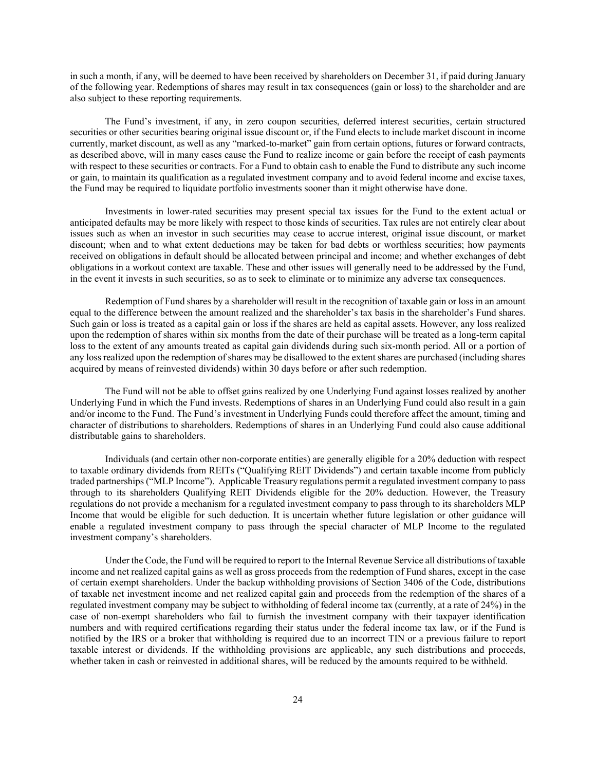in such a month, if any, will be deemed to have been received by shareholders on December 31, if paid during January of the following year. Redemptions of shares may result in tax consequences (gain or loss) to the shareholder and are also subject to these reporting requirements.

The Fund's investment, if any, in zero coupon securities, deferred interest securities, certain structured securities or other securities bearing original issue discount or, if the Fund elects to include market discount in income currently, market discount, as well as any "marked-to-market" gain from certain options, futures or forward contracts, as described above, will in many cases cause the Fund to realize income or gain before the receipt of cash payments with respect to these securities or contracts. For a Fund to obtain cash to enable the Fund to distribute any such income or gain, to maintain its qualification as a regulated investment company and to avoid federal income and excise taxes, the Fund may be required to liquidate portfolio investments sooner than it might otherwise have done.

Investments in lower-rated securities may present special tax issues for the Fund to the extent actual or anticipated defaults may be more likely with respect to those kinds of securities. Tax rules are not entirely clear about issues such as when an investor in such securities may cease to accrue interest, original issue discount, or market discount; when and to what extent deductions may be taken for bad debts or worthless securities; how payments received on obligations in default should be allocated between principal and income; and whether exchanges of debt obligations in a workout context are taxable. These and other issues will generally need to be addressed by the Fund, in the event it invests in such securities, so as to seek to eliminate or to minimize any adverse tax consequences.

Redemption of Fund shares by a shareholder will result in the recognition of taxable gain or loss in an amount equal to the difference between the amount realized and the shareholder's tax basis in the shareholder's Fund shares. Such gain or loss is treated as a capital gain or loss if the shares are held as capital assets. However, any loss realized upon the redemption of shares within six months from the date of their purchase will be treated as a long-term capital loss to the extent of any amounts treated as capital gain dividends during such six-month period. All or a portion of any loss realized upon the redemption of shares may be disallowed to the extent shares are purchased (including shares acquired by means of reinvested dividends) within 30 days before or after such redemption.

The Fund will not be able to offset gains realized by one Underlying Fund against losses realized by another Underlying Fund in which the Fund invests. Redemptions of shares in an Underlying Fund could also result in a gain and/or income to the Fund. The Fund's investment in Underlying Funds could therefore affect the amount, timing and character of distributions to shareholders. Redemptions of shares in an Underlying Fund could also cause additional distributable gains to shareholders.

Individuals (and certain other non-corporate entities) are generally eligible for a 20% deduction with respect to taxable ordinary dividends from REITs ("Qualifying REIT Dividends") and certain taxable income from publicly traded partnerships ("MLP Income"). Applicable Treasury regulations permit a regulated investment company to pass through to its shareholders Qualifying REIT Dividends eligible for the 20% deduction. However, the Treasury regulations do not provide a mechanism for a regulated investment company to pass through to its shareholders MLP Income that would be eligible for such deduction. It is uncertain whether future legislation or other guidance will enable a regulated investment company to pass through the special character of MLP Income to the regulated investment company's shareholders.

Under the Code, the Fund will be required to report to the Internal Revenue Service all distributions of taxable income and net realized capital gains as well as gross proceeds from the redemption of Fund shares, except in the case of certain exempt shareholders. Under the backup withholding provisions of Section 3406 of the Code, distributions of taxable net investment income and net realized capital gain and proceeds from the redemption of the shares of a regulated investment company may be subject to withholding of federal income tax (currently, at a rate of 24%) in the case of non-exempt shareholders who fail to furnish the investment company with their taxpayer identification numbers and with required certifications regarding their status under the federal income tax law, or if the Fund is notified by the IRS or a broker that withholding is required due to an incorrect TIN or a previous failure to report taxable interest or dividends. If the withholding provisions are applicable, any such distributions and proceeds, whether taken in cash or reinvested in additional shares, will be reduced by the amounts required to be withheld.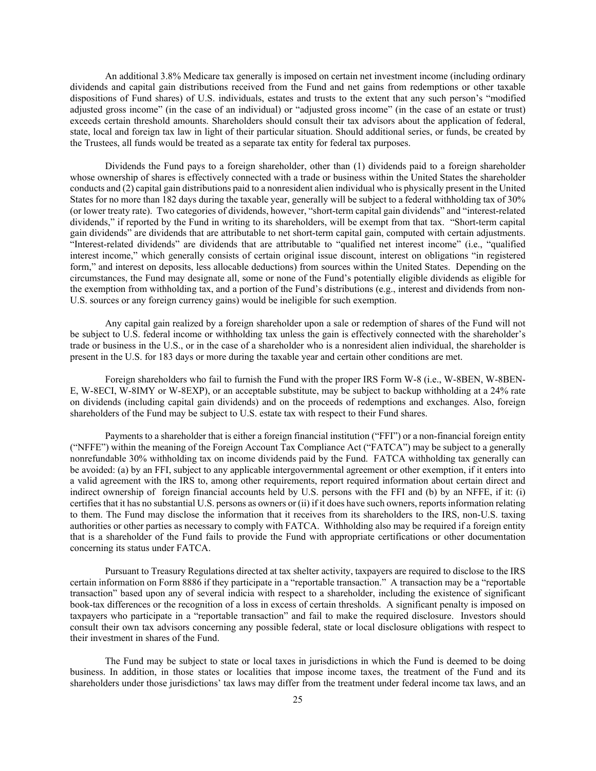An additional 3.8% Medicare tax generally is imposed on certain net investment income (including ordinary dividends and capital gain distributions received from the Fund and net gains from redemptions or other taxable dispositions of Fund shares) of U.S. individuals, estates and trusts to the extent that any such person's "modified adjusted gross income" (in the case of an individual) or "adjusted gross income" (in the case of an estate or trust) exceeds certain threshold amounts. Shareholders should consult their tax advisors about the application of federal, state, local and foreign tax law in light of their particular situation. Should additional series, or funds, be created by the Trustees, all funds would be treated as a separate tax entity for federal tax purposes.

Dividends the Fund pays to a foreign shareholder, other than (1) dividends paid to a foreign shareholder whose ownership of shares is effectively connected with a trade or business within the United States the shareholder conducts and (2) capital gain distributions paid to a nonresident alien individual who is physically present in the United States for no more than 182 days during the taxable year, generally will be subject to a federal withholding tax of 30% (or lower treaty rate). Two categories of dividends, however, "short-term capital gain dividends" and "interest-related dividends," if reported by the Fund in writing to its shareholders, will be exempt from that tax. "Short-term capital gain dividends" are dividends that are attributable to net short-term capital gain, computed with certain adjustments. "Interest-related dividends" are dividends that are attributable to "qualified net interest income" (i.e., "qualified interest income," which generally consists of certain original issue discount, interest on obligations "in registered form," and interest on deposits, less allocable deductions) from sources within the United States. Depending on the circumstances, the Fund may designate all, some or none of the Fund's potentially eligible dividends as eligible for the exemption from withholding tax, and a portion of the Fund's distributions (e.g., interest and dividends from non-U.S. sources or any foreign currency gains) would be ineligible for such exemption.

Any capital gain realized by a foreign shareholder upon a sale or redemption of shares of the Fund will not be subject to U.S. federal income or withholding tax unless the gain is effectively connected with the shareholder's trade or business in the U.S., or in the case of a shareholder who is a nonresident alien individual, the shareholder is present in the U.S. for 183 days or more during the taxable year and certain other conditions are met.

Foreign shareholders who fail to furnish the Fund with the proper IRS Form W-8 (i.e., W-8BEN, W-8BEN-E, W-8ECI, W-8IMY or W-8EXP), or an acceptable substitute, may be subject to backup withholding at a 24% rate on dividends (including capital gain dividends) and on the proceeds of redemptions and exchanges. Also, foreign shareholders of the Fund may be subject to U.S. estate tax with respect to their Fund shares.

Payments to a shareholder that is either a foreign financial institution ("FFI") or a non-financial foreign entity ("NFFE") within the meaning of the Foreign Account Tax Compliance Act ("FATCA") may be subject to a generally nonrefundable 30% withholding tax on income dividends paid by the Fund. FATCA withholding tax generally can be avoided: (a) by an FFI, subject to any applicable intergovernmental agreement or other exemption, if it enters into a valid agreement with the IRS to, among other requirements, report required information about certain direct and indirect ownership of foreign financial accounts held by U.S. persons with the FFI and (b) by an NFFE, if it: (i) certifies that it has no substantial U.S. persons as owners or (ii) if it does have such owners, reports information relating to them. The Fund may disclose the information that it receives from its shareholders to the IRS, non-U.S. taxing authorities or other parties as necessary to comply with FATCA. Withholding also may be required if a foreign entity that is a shareholder of the Fund fails to provide the Fund with appropriate certifications or other documentation concerning its status under FATCA.

Pursuant to Treasury Regulations directed at tax shelter activity, taxpayers are required to disclose to the IRS certain information on Form 8886 if they participate in a "reportable transaction." A transaction may be a "reportable transaction" based upon any of several indicia with respect to a shareholder, including the existence of significant book-tax differences or the recognition of a loss in excess of certain thresholds. A significant penalty is imposed on taxpayers who participate in a "reportable transaction" and fail to make the required disclosure. Investors should consult their own tax advisors concerning any possible federal, state or local disclosure obligations with respect to their investment in shares of the Fund.

The Fund may be subject to state or local taxes in jurisdictions in which the Fund is deemed to be doing business. In addition, in those states or localities that impose income taxes, the treatment of the Fund and its shareholders under those jurisdictions' tax laws may differ from the treatment under federal income tax laws, and an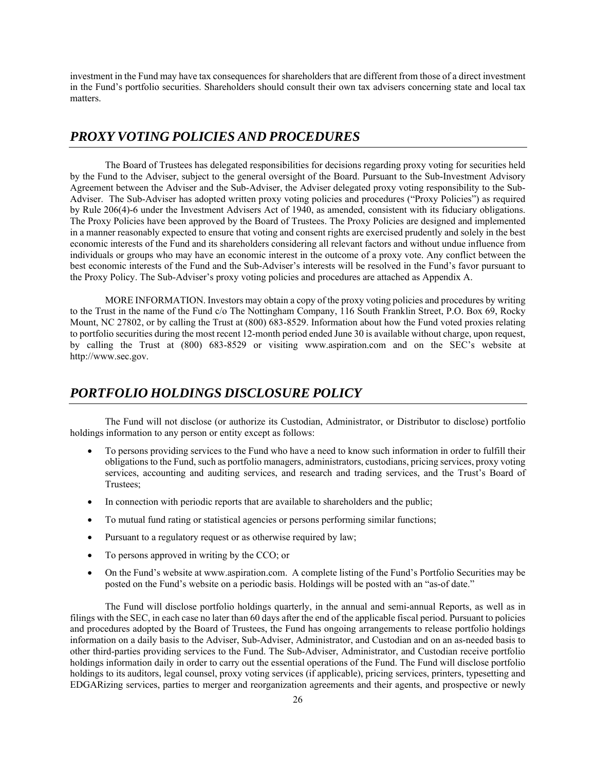investment in the Fund may have tax consequences for shareholders that are different from those of a direct investment in the Fund's portfolio securities. Shareholders should consult their own tax advisers concerning state and local tax matters.

# *PROXY VOTING POLICIES AND PROCEDURES*

The Board of Trustees has delegated responsibilities for decisions regarding proxy voting for securities held by the Fund to the Adviser, subject to the general oversight of the Board. Pursuant to the Sub-Investment Advisory Agreement between the Adviser and the Sub-Adviser, the Adviser delegated proxy voting responsibility to the Sub-Adviser. The Sub-Adviser has adopted written proxy voting policies and procedures ("Proxy Policies") as required by Rule 206(4)-6 under the Investment Advisers Act of 1940, as amended, consistent with its fiduciary obligations. The Proxy Policies have been approved by the Board of Trustees. The Proxy Policies are designed and implemented in a manner reasonably expected to ensure that voting and consent rights are exercised prudently and solely in the best economic interests of the Fund and its shareholders considering all relevant factors and without undue influence from individuals or groups who may have an economic interest in the outcome of a proxy vote. Any conflict between the best economic interests of the Fund and the Sub-Adviser's interests will be resolved in the Fund's favor pursuant to the Proxy Policy. The Sub-Adviser's proxy voting policies and procedures are attached as Appendix A.

MORE INFORMATION. Investors may obtain a copy of the proxy voting policies and procedures by writing to the Trust in the name of the Fund c/o The Nottingham Company, 116 South Franklin Street, P.O. Box 69, Rocky Mount, NC 27802, or by calling the Trust at (800) 683-8529. Information about how the Fund voted proxies relating to portfolio securities during the most recent 12-month period ended June 30 is available without charge, upon request, by calling the Trust at (800) 683-8529 or visiting www.aspiration.com and on the SEC's website at http://www.sec.gov.

# *PORTFOLIO HOLDINGS DISCLOSURE POLICY*

The Fund will not disclose (or authorize its Custodian, Administrator, or Distributor to disclose) portfolio holdings information to any person or entity except as follows:

- To persons providing services to the Fund who have a need to know such information in order to fulfill their obligations to the Fund, such as portfolio managers, administrators, custodians, pricing services, proxy voting services, accounting and auditing services, and research and trading services, and the Trust's Board of Trustees;
- In connection with periodic reports that are available to shareholders and the public;
- To mutual fund rating or statistical agencies or persons performing similar functions;
- Pursuant to a regulatory request or as otherwise required by law;
- To persons approved in writing by the CCO; or
- On the Fund's website at www.aspiration.com. A complete listing of the Fund's Portfolio Securities may be posted on the Fund's website on a periodic basis. Holdings will be posted with an "as-of date."

The Fund will disclose portfolio holdings quarterly, in the annual and semi-annual Reports, as well as in filings with the SEC, in each case no later than 60 days after the end of the applicable fiscal period. Pursuant to policies and procedures adopted by the Board of Trustees, the Fund has ongoing arrangements to release portfolio holdings information on a daily basis to the Adviser, Sub-Adviser, Administrator, and Custodian and on an as-needed basis to other third-parties providing services to the Fund. The Sub-Adviser, Administrator, and Custodian receive portfolio holdings information daily in order to carry out the essential operations of the Fund. The Fund will disclose portfolio holdings to its auditors, legal counsel, proxy voting services (if applicable), pricing services, printers, typesetting and EDGARizing services, parties to merger and reorganization agreements and their agents, and prospective or newly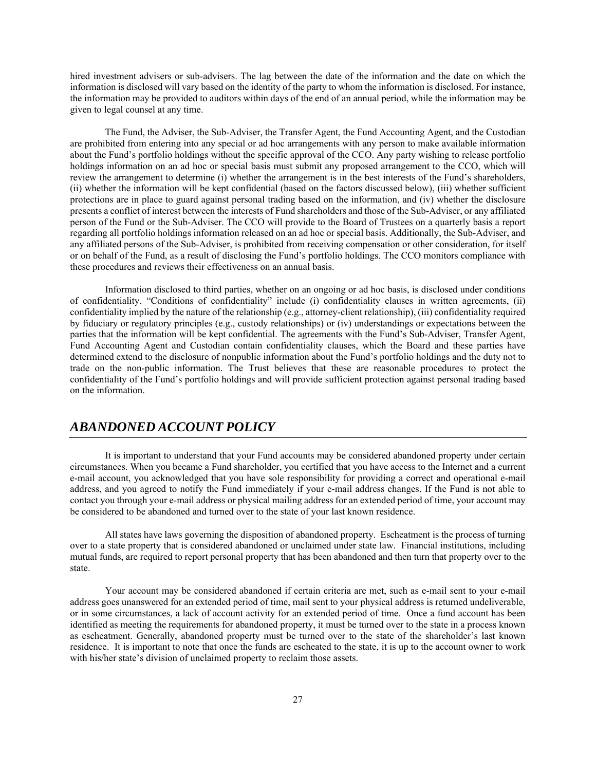hired investment advisers or sub-advisers. The lag between the date of the information and the date on which the information is disclosed will vary based on the identity of the party to whom the information is disclosed. For instance, the information may be provided to auditors within days of the end of an annual period, while the information may be given to legal counsel at any time.

The Fund, the Adviser, the Sub-Adviser, the Transfer Agent, the Fund Accounting Agent, and the Custodian are prohibited from entering into any special or ad hoc arrangements with any person to make available information about the Fund's portfolio holdings without the specific approval of the CCO. Any party wishing to release portfolio holdings information on an ad hoc or special basis must submit any proposed arrangement to the CCO, which will review the arrangement to determine (i) whether the arrangement is in the best interests of the Fund's shareholders, (ii) whether the information will be kept confidential (based on the factors discussed below), (iii) whether sufficient protections are in place to guard against personal trading based on the information, and (iv) whether the disclosure presents a conflict of interest between the interests of Fund shareholders and those of the Sub-Adviser, or any affiliated person of the Fund or the Sub-Adviser. The CCO will provide to the Board of Trustees on a quarterly basis a report regarding all portfolio holdings information released on an ad hoc or special basis. Additionally, the Sub-Adviser, and any affiliated persons of the Sub-Adviser, is prohibited from receiving compensation or other consideration, for itself or on behalf of the Fund, as a result of disclosing the Fund's portfolio holdings. The CCO monitors compliance with these procedures and reviews their effectiveness on an annual basis.

 Information disclosed to third parties, whether on an ongoing or ad hoc basis, is disclosed under conditions of confidentiality. "Conditions of confidentiality" include (i) confidentiality clauses in written agreements, (ii) confidentiality implied by the nature of the relationship (e.g., attorney-client relationship), (iii) confidentiality required by fiduciary or regulatory principles (e.g., custody relationships) or (iv) understandings or expectations between the parties that the information will be kept confidential. The agreements with the Fund's Sub-Adviser, Transfer Agent, Fund Accounting Agent and Custodian contain confidentiality clauses, which the Board and these parties have determined extend to the disclosure of nonpublic information about the Fund's portfolio holdings and the duty not to trade on the non-public information. The Trust believes that these are reasonable procedures to protect the confidentiality of the Fund's portfolio holdings and will provide sufficient protection against personal trading based on the information.

# *ABANDONED ACCOUNT POLICY*

It is important to understand that your Fund accounts may be considered abandoned property under certain circumstances. When you became a Fund shareholder, you certified that you have access to the Internet and a current e-mail account, you acknowledged that you have sole responsibility for providing a correct and operational e-mail address, and you agreed to notify the Fund immediately if your e-mail address changes. If the Fund is not able to contact you through your e-mail address or physical mailing address for an extended period of time, your account may be considered to be abandoned and turned over to the state of your last known residence.

 All states have laws governing the disposition of abandoned property. Escheatment is the process of turning over to a state property that is considered abandoned or unclaimed under state law. Financial institutions, including mutual funds, are required to report personal property that has been abandoned and then turn that property over to the state.

 Your account may be considered abandoned if certain criteria are met, such as e-mail sent to your e-mail address goes unanswered for an extended period of time, mail sent to your physical address is returned undeliverable, or in some circumstances, a lack of account activity for an extended period of time. Once a fund account has been identified as meeting the requirements for abandoned property, it must be turned over to the state in a process known as escheatment. Generally, abandoned property must be turned over to the state of the shareholder's last known residence. It is important to note that once the funds are escheated to the state, it is up to the account owner to work with his/her state's division of unclaimed property to reclaim those assets.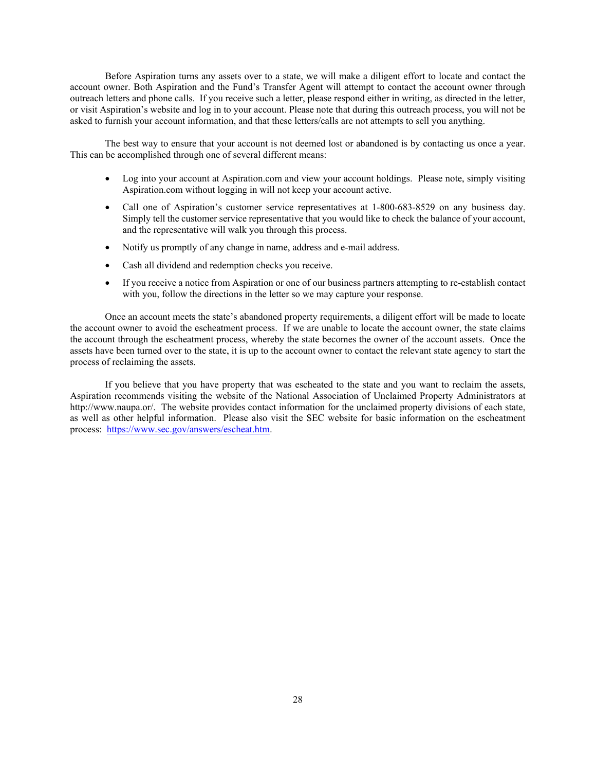Before Aspiration turns any assets over to a state, we will make a diligent effort to locate and contact the account owner. Both Aspiration and the Fund's Transfer Agent will attempt to contact the account owner through outreach letters and phone calls. If you receive such a letter, please respond either in writing, as directed in the letter, or visit Aspiration's website and log in to your account. Please note that during this outreach process, you will not be asked to furnish your account information, and that these letters/calls are not attempts to sell you anything.

 The best way to ensure that your account is not deemed lost or abandoned is by contacting us once a year. This can be accomplished through one of several different means:

- Log into your account at Aspiration.com and view your account holdings. Please note, simply visiting Aspiration.com without logging in will not keep your account active.
- Call one of Aspiration's customer service representatives at 1-800-683-8529 on any business day. Simply tell the customer service representative that you would like to check the balance of your account, and the representative will walk you through this process.
- Notify us promptly of any change in name, address and e-mail address.
- Cash all dividend and redemption checks you receive.
- If you receive a notice from Aspiration or one of our business partners attempting to re-establish contact with you, follow the directions in the letter so we may capture your response.

 Once an account meets the state's abandoned property requirements, a diligent effort will be made to locate the account owner to avoid the escheatment process. If we are unable to locate the account owner, the state claims the account through the escheatment process, whereby the state becomes the owner of the account assets. Once the assets have been turned over to the state, it is up to the account owner to contact the relevant state agency to start the process of reclaiming the assets.

 If you believe that you have property that was escheated to the state and you want to reclaim the assets, Aspiration recommends visiting the website of the National Association of Unclaimed Property Administrators at http://www.naupa.or/. The website provides contact information for the unclaimed property divisions of each state, as well as other helpful information. Please also visit the SEC website for basic information on the escheatment process: https://www.sec.gov/answers/escheat.htm.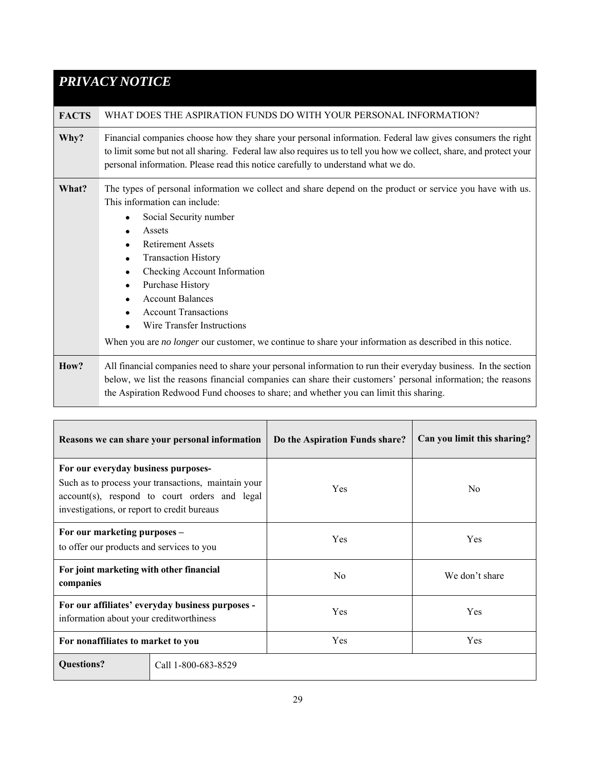# *PRIVACY NOTICE*

# **FACTS** WHAT DOES THE ASPIRATION FUNDS DO WITH YOUR PERSONAL INFORMATION?

**Why?** Financial companies choose how they share your personal information. Federal law gives consumers the right to limit some but not all sharing. Federal law also requires us to tell you how we collect, share, and protect your personal information. Please read this notice carefully to understand what we do.

## **What?** The types of personal information we collect and share depend on the product or service you have with us. This information can include:

- Social Security number
- Assets
- Retirement Assets
- **•** Transaction History
- Checking Account Information
- Purchase History
- Account Balances
- Account Transactions
- Wire Transfer Instructions

When you are *no longer* our customer, we continue to share your information as described in this notice.

**How?** All financial companies need to share your personal information to run their everyday business. In the section below, we list the reasons financial companies can share their customers' personal information; the reasons the Aspiration Redwood Fund chooses to share; and whether you can limit this sharing.

|                                                                                    | Reasons we can share your personal information                                                       | Do the Aspiration Funds share? | Can you limit this sharing? |
|------------------------------------------------------------------------------------|------------------------------------------------------------------------------------------------------|--------------------------------|-----------------------------|
| For our everyday business purposes-<br>investigations, or report to credit bureaus | Such as to process your transactions, maintain your<br>account(s), respond to court orders and legal | Yes                            | No.                         |
| For our marketing purposes -<br>to offer our products and services to you          |                                                                                                      | Yes                            | Yes                         |
| For joint marketing with other financial<br>companies                              |                                                                                                      | No                             | We don't share              |
| information about your creditworthiness                                            | For our affiliates' everyday business purposes -                                                     | Yes                            | Yes                         |
| For nonaffiliates to market to you                                                 |                                                                                                      | Yes                            | Yes                         |
| <b>Questions?</b>                                                                  | Call 1-800-683-8529                                                                                  |                                |                             |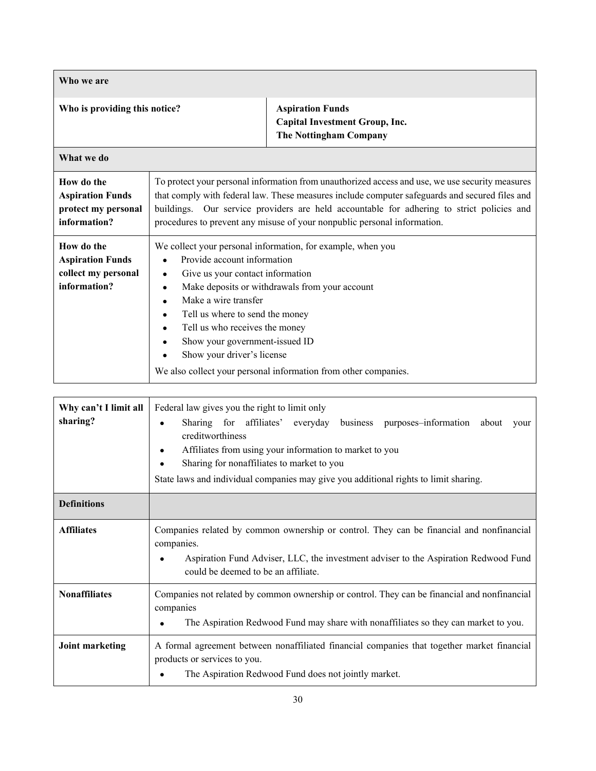| Who we are                                                                   |                                                                                                                                                                                                                                                                               |                                                                                                                                                                                                                                                                                                                                                                            |
|------------------------------------------------------------------------------|-------------------------------------------------------------------------------------------------------------------------------------------------------------------------------------------------------------------------------------------------------------------------------|----------------------------------------------------------------------------------------------------------------------------------------------------------------------------------------------------------------------------------------------------------------------------------------------------------------------------------------------------------------------------|
| Who is providing this notice?                                                |                                                                                                                                                                                                                                                                               | <b>Aspiration Funds</b><br><b>Capital Investment Group, Inc.</b><br><b>The Nottingham Company</b>                                                                                                                                                                                                                                                                          |
| What we do                                                                   |                                                                                                                                                                                                                                                                               |                                                                                                                                                                                                                                                                                                                                                                            |
| How do the<br><b>Aspiration Funds</b><br>protect my personal<br>information? |                                                                                                                                                                                                                                                                               | To protect your personal information from unauthorized access and use, we use security measures<br>that comply with federal law. These measures include computer safeguards and secured files and<br>buildings. Our service providers are held accountable for adhering to strict policies and<br>procedures to prevent any misuse of your nonpublic personal information. |
| How do the<br><b>Aspiration Funds</b><br>collect my personal<br>information? | Provide account information<br>Give us your contact information<br>٠<br>٠<br>Make a wire transfer<br>$\bullet$<br>Tell us where to send the money<br>$\bullet$<br>Tell us who receives the money<br>$\bullet$<br>Show your government-issued ID<br>Show your driver's license | We collect your personal information, for example, when you<br>Make deposits or withdrawals from your account<br>We also collect your personal information from other companies.                                                                                                                                                                                           |

| Why can't I limit all<br>sharing? | Federal law gives you the right to limit only<br>Sharing for affiliates' everyday business purposes-information about<br>your<br>creditworthiness<br>Affiliates from using your information to market to you<br>Sharing for nonaffiliates to market to you<br>State laws and individual companies may give you additional rights to limit sharing. |
|-----------------------------------|----------------------------------------------------------------------------------------------------------------------------------------------------------------------------------------------------------------------------------------------------------------------------------------------------------------------------------------------------|
| <b>Definitions</b>                |                                                                                                                                                                                                                                                                                                                                                    |
| <b>Affiliates</b>                 | Companies related by common ownership or control. They can be financial and nonfinancial<br>companies.<br>Aspiration Fund Adviser, LLC, the investment adviser to the Aspiration Redwood Fund<br>could be deemed to be an affiliate.                                                                                                               |
| <b>Nonaffiliates</b>              | Companies not related by common ownership or control. They can be financial and nonfinancial<br>companies<br>The Aspiration Redwood Fund may share with nonaffiliates so they can market to you.                                                                                                                                                   |
| <b>Joint marketing</b>            | A formal agreement between nonaffiliated financial companies that together market financial<br>products or services to you.<br>The Aspiration Redwood Fund does not jointly market.                                                                                                                                                                |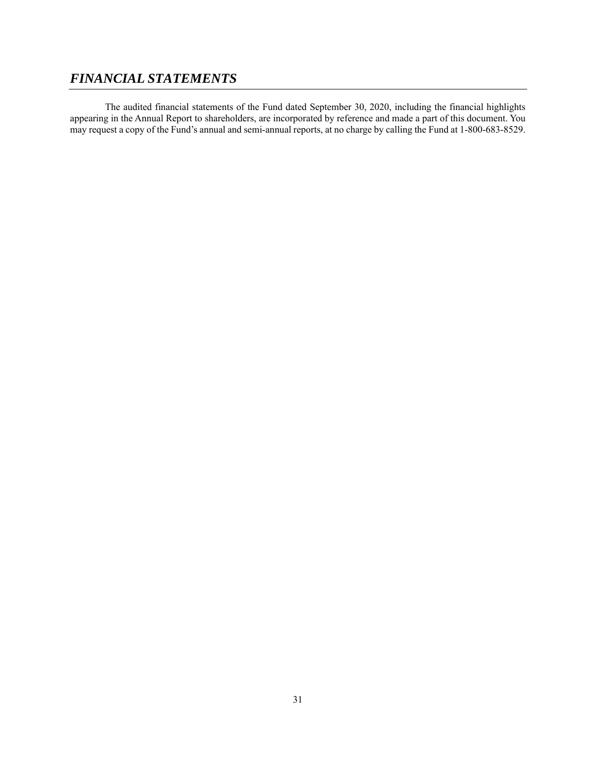# *FINANCIAL STATEMENTS*

The audited financial statements of the Fund dated September 30, 2020, including the financial highlights appearing in the Annual Report to shareholders, are incorporated by reference and made a part of this document. You may request a copy of the Fund's annual and semi-annual reports, at no charge by calling the Fund at 1-800-683-8529.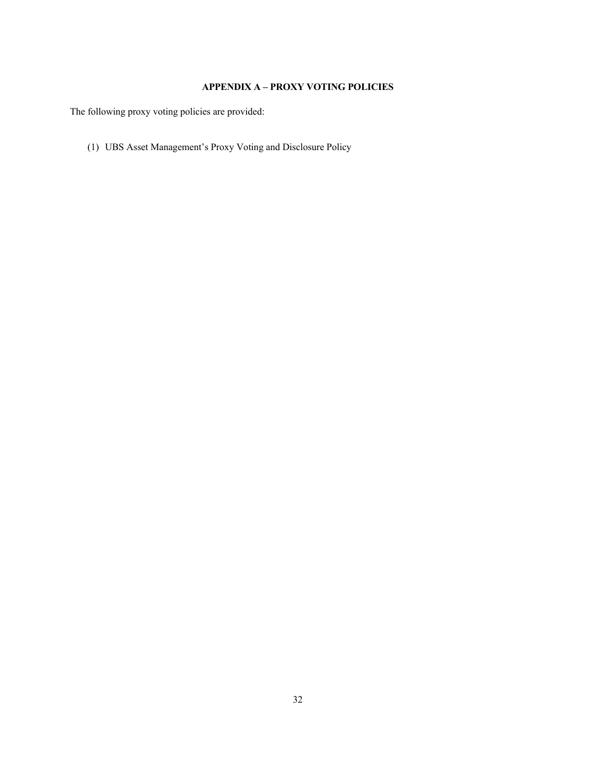# **APPENDIX A – PROXY VOTING POLICIES**

The following proxy voting policies are provided:

(1) UBS Asset Management's Proxy Voting and Disclosure Policy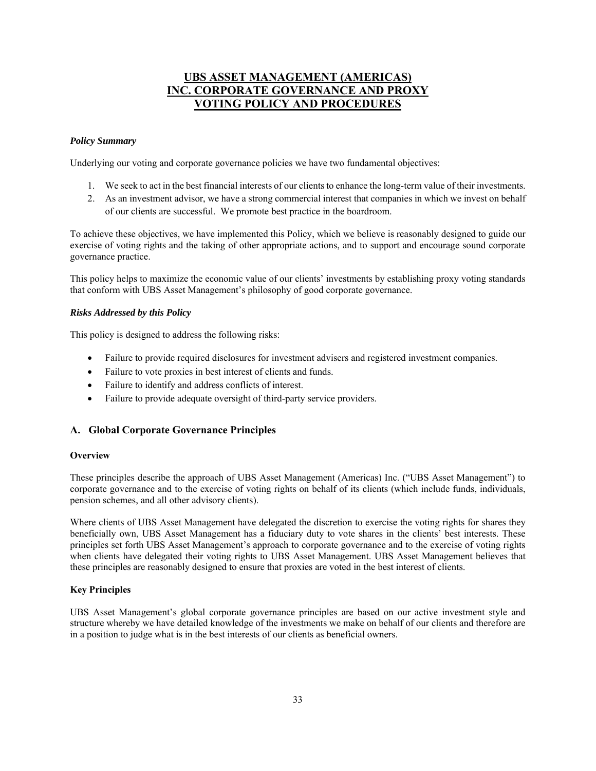# **UBS ASSET MANAGEMENT (AMERICAS) INC. CORPORATE GOVERNANCE AND PROXY VOTING POLICY AND PROCEDURES**

### *Policy Summary*

Underlying our voting and corporate governance policies we have two fundamental objectives:

- 1. We seek to act in the best financial interests of our clients to enhance the long-term value of their investments.
- 2. As an investment advisor, we have a strong commercial interest that companies in which we invest on behalf of our clients are successful. We promote best practice in the boardroom.

To achieve these objectives, we have implemented this Policy, which we believe is reasonably designed to guide our exercise of voting rights and the taking of other appropriate actions, and to support and encourage sound corporate governance practice.

This policy helps to maximize the economic value of our clients' investments by establishing proxy voting standards that conform with UBS Asset Management's philosophy of good corporate governance.

### *Risks Addressed by this Policy*

This policy is designed to address the following risks:

- Failure to provide required disclosures for investment advisers and registered investment companies.
- Failure to vote proxies in best interest of clients and funds.
- Failure to identify and address conflicts of interest.
- Failure to provide adequate oversight of third-party service providers.

### **A. Global Corporate Governance Principles**

### **Overview**

These principles describe the approach of UBS Asset Management (Americas) Inc. ("UBS Asset Management") to corporate governance and to the exercise of voting rights on behalf of its clients (which include funds, individuals, pension schemes, and all other advisory clients).

Where clients of UBS Asset Management have delegated the discretion to exercise the voting rights for shares they beneficially own, UBS Asset Management has a fiduciary duty to vote shares in the clients' best interests. These principles set forth UBS Asset Management's approach to corporate governance and to the exercise of voting rights when clients have delegated their voting rights to UBS Asset Management. UBS Asset Management believes that these principles are reasonably designed to ensure that proxies are voted in the best interest of clients.

### **Key Principles**

UBS Asset Management's global corporate governance principles are based on our active investment style and structure whereby we have detailed knowledge of the investments we make on behalf of our clients and therefore are in a position to judge what is in the best interests of our clients as beneficial owners.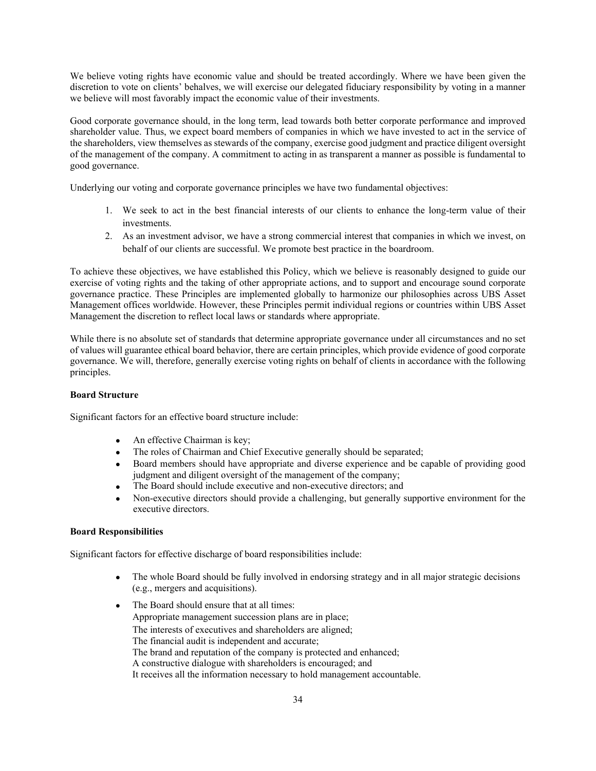We believe voting rights have economic value and should be treated accordingly. Where we have been given the discretion to vote on clients' behalves, we will exercise our delegated fiduciary responsibility by voting in a manner we believe will most favorably impact the economic value of their investments.

Good corporate governance should, in the long term, lead towards both better corporate performance and improved shareholder value. Thus, we expect board members of companies in which we have invested to act in the service of the shareholders, view themselves as stewards of the company, exercise good judgment and practice diligent oversight of the management of the company. A commitment to acting in as transparent a manner as possible is fundamental to good governance.

Underlying our voting and corporate governance principles we have two fundamental objectives:

- 1. We seek to act in the best financial interests of our clients to enhance the long-term value of their investments.
- 2. As an investment advisor, we have a strong commercial interest that companies in which we invest, on behalf of our clients are successful. We promote best practice in the boardroom.

To achieve these objectives, we have established this Policy, which we believe is reasonably designed to guide our exercise of voting rights and the taking of other appropriate actions, and to support and encourage sound corporate governance practice. These Principles are implemented globally to harmonize our philosophies across UBS Asset Management offices worldwide. However, these Principles permit individual regions or countries within UBS Asset Management the discretion to reflect local laws or standards where appropriate.

While there is no absolute set of standards that determine appropriate governance under all circumstances and no set of values will guarantee ethical board behavior, there are certain principles, which provide evidence of good corporate governance. We will, therefore, generally exercise voting rights on behalf of clients in accordance with the following principles.

### **Board Structure**

Significant factors for an effective board structure include:

- An effective Chairman is key;
- The roles of Chairman and Chief Executive generally should be separated;
- Board members should have appropriate and diverse experience and be capable of providing good judgment and diligent oversight of the management of the company;
- The Board should include executive and non-executive directors; and
- Non-executive directors should provide a challenging, but generally supportive environment for the executive directors.

### **Board Responsibilities**

Significant factors for effective discharge of board responsibilities include:

- The whole Board should be fully involved in endorsing strategy and in all major strategic decisions (e.g., mergers and acquisitions).
- The Board should ensure that at all times: Appropriate management succession plans are in place; The interests of executives and shareholders are aligned; The financial audit is independent and accurate; The brand and reputation of the company is protected and enhanced; A constructive dialogue with shareholders is encouraged; and It receives all the information necessary to hold management accountable.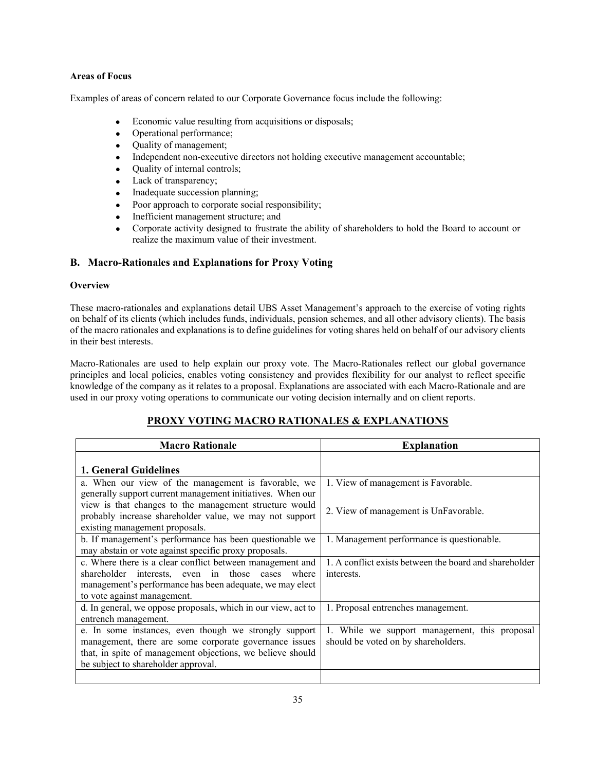### **Areas of Focus**

Examples of areas of concern related to our Corporate Governance focus include the following:

- Economic value resulting from acquisitions or disposals;
- Operational performance;
- Quality of management;
- Independent non-executive directors not holding executive management accountable;
- Quality of internal controls;
- Lack of transparency;
- Inadequate succession planning;
- Poor approach to corporate social responsibility;
- Inefficient management structure; and
- Corporate activity designed to frustrate the ability of shareholders to hold the Board to account or realize the maximum value of their investment.

## **B. Macro-Rationales and Explanations for Proxy Voting**

### **Overview**

These macro-rationales and explanations detail UBS Asset Management's approach to the exercise of voting rights on behalf of its clients (which includes funds, individuals, pension schemes, and all other advisory clients). The basis of the macro rationales and explanations is to define guidelines for voting shares held on behalf of our advisory clients in their best interests.

Macro-Rationales are used to help explain our proxy vote. The Macro-Rationales reflect our global governance principles and local policies, enables voting consistency and provides flexibility for our analyst to reflect specific knowledge of the company as it relates to a proposal. Explanations are associated with each Macro-Rationale and are used in our proxy voting operations to communicate our voting decision internally and on client reports.

# **PROXY VOTING MACRO RATIONALES & EXPLANATIONS**

| <b>Macro Rationale</b>                                                                                                                                                                                               | <b>Explanation</b>                                                                   |
|----------------------------------------------------------------------------------------------------------------------------------------------------------------------------------------------------------------------|--------------------------------------------------------------------------------------|
| 1. General Guidelines                                                                                                                                                                                                |                                                                                      |
| a. When our view of the management is favorable, we<br>generally support current management initiatives. When our                                                                                                    | 1. View of management is Favorable.                                                  |
| view is that changes to the management structure would<br>probably increase shareholder value, we may not support<br>existing management proposals.                                                                  | 2. View of management is UnFavorable.                                                |
| b. If management's performance has been questionable we<br>may abstain or vote against specific proxy proposals.                                                                                                     | 1. Management performance is questionable.                                           |
| c. Where there is a clear conflict between management and<br>shareholder interests, even in those cases where<br>management's performance has been adequate, we may elect<br>to vote against management.             | 1. A conflict exists between the board and shareholder<br>interests.                 |
| d. In general, we oppose proposals, which in our view, act to<br>entrench management.                                                                                                                                | 1. Proposal entrenches management.                                                   |
| e. In some instances, even though we strongly support<br>management, there are some corporate governance issues<br>that, in spite of management objections, we believe should<br>be subject to shareholder approval. | 1. While we support management, this proposal<br>should be voted on by shareholders. |
|                                                                                                                                                                                                                      |                                                                                      |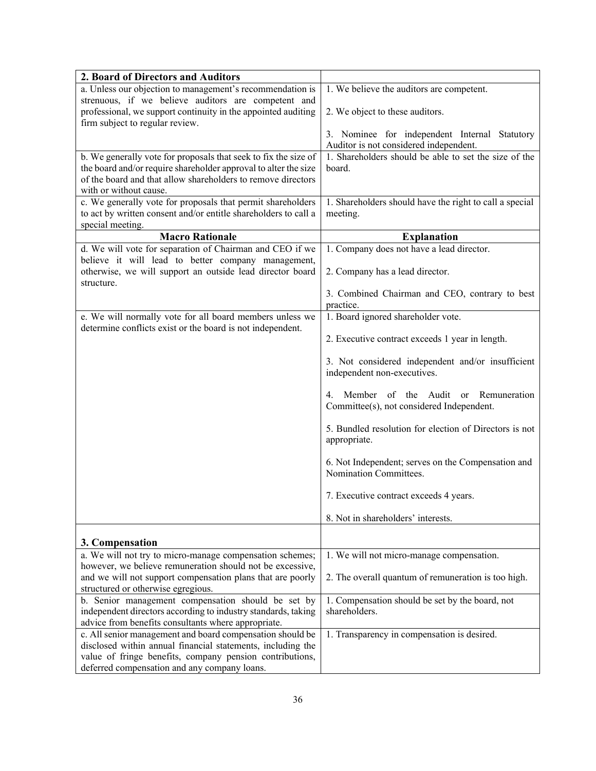| 2. Board of Directors and Auditors                                                               |                                                         |
|--------------------------------------------------------------------------------------------------|---------------------------------------------------------|
| a. Unless our objection to management's recommendation is                                        | 1. We believe the auditors are competent.               |
| strenuous, if we believe auditors are competent and                                              |                                                         |
| professional, we support continuity in the appointed auditing<br>firm subject to regular review. | 2. We object to these auditors.                         |
|                                                                                                  | 3. Nominee for independent Internal Statutory           |
|                                                                                                  | Auditor is not considered independent.                  |
| b. We generally vote for proposals that seek to fix the size of                                  | 1. Shareholders should be able to set the size of the   |
| the board and/or require shareholder approval to alter the size                                  | board.                                                  |
| of the board and that allow shareholders to remove directors                                     |                                                         |
| with or without cause.                                                                           |                                                         |
| c. We generally vote for proposals that permit shareholders                                      | 1. Shareholders should have the right to call a special |
| to act by written consent and/or entitle shareholders to call a                                  | meeting.                                                |
| special meeting.                                                                                 |                                                         |
| <b>Macro Rationale</b>                                                                           | <b>Explanation</b>                                      |
| d. We will vote for separation of Chairman and CEO if we                                         | 1. Company does not have a lead director.               |
| believe it will lead to better company management,                                               |                                                         |
| otherwise, we will support an outside lead director board                                        | 2. Company has a lead director.                         |
| structure.                                                                                       |                                                         |
|                                                                                                  | 3. Combined Chairman and CEO, contrary to best          |
|                                                                                                  | practice.                                               |
| e. We will normally vote for all board members unless we                                         | 1. Board ignored shareholder vote.                      |
| determine conflicts exist or the board is not independent.                                       |                                                         |
|                                                                                                  | 2. Executive contract exceeds 1 year in length.         |
|                                                                                                  | 3. Not considered independent and/or insufficient       |
|                                                                                                  | independent non-executives.                             |
|                                                                                                  |                                                         |
|                                                                                                  | Member of the Audit or<br>4.<br>Remuneration            |
|                                                                                                  | Committee(s), not considered Independent.               |
|                                                                                                  |                                                         |
|                                                                                                  | 5. Bundled resolution for election of Directors is not  |
|                                                                                                  | appropriate.                                            |
|                                                                                                  |                                                         |
|                                                                                                  | 6. Not Independent; serves on the Compensation and      |
|                                                                                                  | Nomination Committees.                                  |
|                                                                                                  | 7. Executive contract exceeds 4 years.                  |
|                                                                                                  |                                                         |
|                                                                                                  | 8. Not in shareholders' interests.                      |
|                                                                                                  |                                                         |
| 3. Compensation<br>a. We will not try to micro-manage compensation schemes;                      |                                                         |
| however, we believe remuneration should not be excessive,                                        | 1. We will not micro-manage compensation.               |
| and we will not support compensation plans that are poorly                                       | 2. The overall quantum of remuneration is too high.     |
| structured or otherwise egregious.                                                               |                                                         |
| b. Senior management compensation should be set by                                               | 1. Compensation should be set by the board, not         |
| independent directors according to industry standards, taking                                    | shareholders.                                           |
| advice from benefits consultants where appropriate.                                              |                                                         |
| c. All senior management and board compensation should be                                        | 1. Transparency in compensation is desired.             |
| disclosed within annual financial statements, including the                                      |                                                         |
| value of fringe benefits, company pension contributions,                                         |                                                         |
| deferred compensation and any company loans.                                                     |                                                         |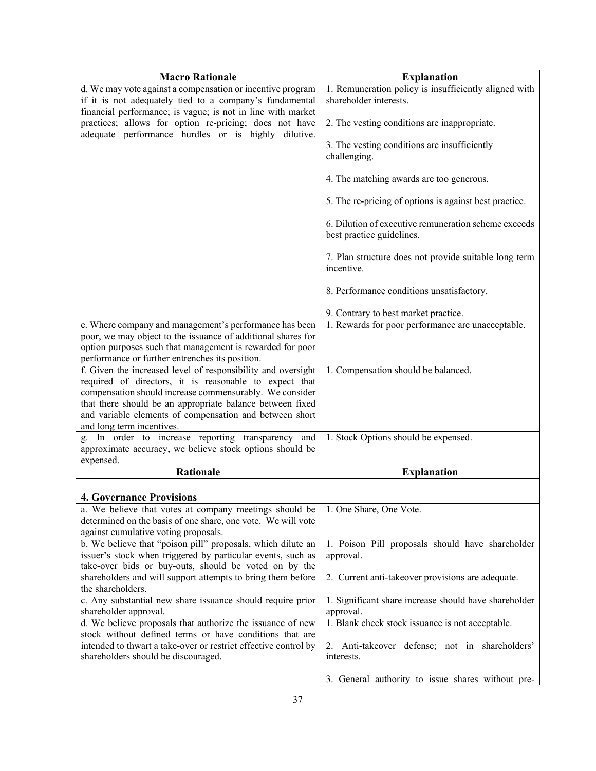| <b>Macro Rationale</b>                                          | <b>Explanation</b>                                                  |
|-----------------------------------------------------------------|---------------------------------------------------------------------|
| d. We may vote against a compensation or incentive program      | 1. Remuneration policy is insufficiently aligned with               |
| if it is not adequately tied to a company's fundamental         | shareholder interests.                                              |
| financial performance; is vague; is not in line with market     |                                                                     |
| practices; allows for option re-pricing; does not have          | 2. The vesting conditions are inappropriate.                        |
| adequate performance hurdles or is highly dilutive.             |                                                                     |
|                                                                 | 3. The vesting conditions are insufficiently                        |
|                                                                 | challenging.                                                        |
|                                                                 |                                                                     |
|                                                                 | 4. The matching awards are too generous.                            |
|                                                                 |                                                                     |
|                                                                 | 5. The re-pricing of options is against best practice.              |
|                                                                 | 6. Dilution of executive remuneration scheme exceeds                |
|                                                                 | best practice guidelines.                                           |
|                                                                 |                                                                     |
|                                                                 | 7. Plan structure does not provide suitable long term<br>incentive. |
|                                                                 |                                                                     |
|                                                                 | 8. Performance conditions unsatisfactory.                           |
|                                                                 | 9. Contrary to best market practice.                                |
| e. Where company and management's performance has been          | 1. Rewards for poor performance are unacceptable.                   |
| poor, we may object to the issuance of additional shares for    |                                                                     |
| option purposes such that management is rewarded for poor       |                                                                     |
| performance or further entrenches its position.                 |                                                                     |
| f. Given the increased level of responsibility and oversight    | 1. Compensation should be balanced.                                 |
| required of directors, it is reasonable to expect that          |                                                                     |
| compensation should increase commensurably. We consider         |                                                                     |
| that there should be an appropriate balance between fixed       |                                                                     |
| and variable elements of compensation and between short         |                                                                     |
| and long term incentives.                                       |                                                                     |
| g. In order to increase reporting transparency and              | 1. Stock Options should be expensed.                                |
| approximate accuracy, we believe stock options should be        |                                                                     |
| expensed.<br><b>Rationale</b>                                   | <b>Explanation</b>                                                  |
|                                                                 |                                                                     |
| <b>4. Governance Provisions</b>                                 |                                                                     |
| a. We believe that votes at company meetings should be          | 1. One Share, One Vote.                                             |
| determined on the basis of one share, one vote. We will vote    |                                                                     |
| against cumulative voting proposals.                            |                                                                     |
| b. We believe that "poison pill" proposals, which dilute an     | 1. Poison Pill proposals should have shareholder                    |
| issuer's stock when triggered by particular events, such as     | approval.                                                           |
| take-over bids or buy-outs, should be voted on by the           |                                                                     |
| shareholders and will support attempts to bring them before     | 2. Current anti-takeover provisions are adequate.                   |
| the shareholders.                                               |                                                                     |
| c. Any substantial new share issuance should require prior      | 1. Significant share increase should have shareholder               |
| shareholder approval.                                           | approval.                                                           |
| d. We believe proposals that authorize the issuance of new      | 1. Blank check stock issuance is not acceptable.                    |
| stock without defined terms or have conditions that are         |                                                                     |
| intended to thwart a take-over or restrict effective control by | 2. Anti-takeover defense; not in shareholders'                      |
| shareholders should be discouraged.                             | interests.                                                          |
|                                                                 | 3. General authority to issue shares without pre-                   |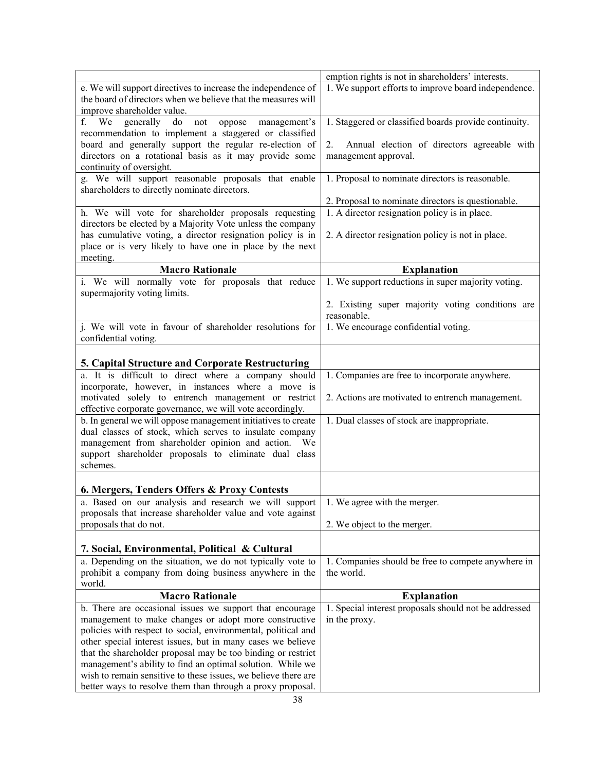|                                                                      | emption rights is not in shareholders' interests.                        |
|----------------------------------------------------------------------|--------------------------------------------------------------------------|
| e. We will support directives to increase the independence of        | 1. We support efforts to improve board independence.                     |
| the board of directors when we believe that the measures will        |                                                                          |
| improve shareholder value.                                           |                                                                          |
| f. We generally do not oppose management's                           | 1. Staggered or classified boards provide continuity.                    |
| recommendation to implement a staggered or classified                |                                                                          |
| board and generally support the regular re-election of               | Annual election of directors agreeable with<br>2.                        |
| directors on a rotational basis as it may provide some               | management approval.                                                     |
| continuity of oversight.                                             |                                                                          |
| g. We will support reasonable proposals that enable                  | 1. Proposal to nominate directors is reasonable.                         |
| shareholders to directly nominate directors.                         |                                                                          |
|                                                                      | 2. Proposal to nominate directors is questionable.                       |
| h. We will vote for shareholder proposals requesting                 | 1. A director resignation policy is in place.                            |
| directors be elected by a Majority Vote unless the company           |                                                                          |
| has cumulative voting, a director resignation policy is in           | 2. A director resignation policy is not in place.                        |
| place or is very likely to have one in place by the next<br>meeting. |                                                                          |
| <b>Macro Rationale</b>                                               |                                                                          |
| i. We will normally vote for proposals that reduce                   | <b>Explanation</b><br>1. We support reductions in super majority voting. |
| supermajority voting limits.                                         |                                                                          |
|                                                                      | 2. Existing super majority voting conditions are                         |
|                                                                      | reasonable.                                                              |
| j. We will vote in favour of shareholder resolutions for             | 1. We encourage confidential voting.                                     |
| confidential voting.                                                 |                                                                          |
|                                                                      |                                                                          |
| <b>5. Capital Structure and Corporate Restructuring</b>              |                                                                          |
| a. It is difficult to direct where a company should                  | 1. Companies are free to incorporate anywhere.                           |
| incorporate, however, in instances where a move is                   |                                                                          |
| motivated solely to entrench management or restrict                  | 2. Actions are motivated to entrench management.                         |
| effective corporate governance, we will vote accordingly.            |                                                                          |
| b. In general we will oppose management initiatives to create        | 1. Dual classes of stock are inappropriate.                              |
| dual classes of stock, which serves to insulate company              |                                                                          |
| management from shareholder opinion and action.<br>We                |                                                                          |
| support shareholder proposals to eliminate dual class                |                                                                          |
| schemes.                                                             |                                                                          |
|                                                                      |                                                                          |
| 6. Mergers, Tenders Offers & Proxy Contests                          |                                                                          |
| a. Based on our analysis and research we will support                | 1. We agree with the merger.                                             |
| proposals that increase shareholder value and vote against           |                                                                          |
| proposals that do not.                                               | 2. We object to the merger.                                              |
|                                                                      |                                                                          |
| 7. Social, Environmental, Political & Cultural                       |                                                                          |
| a. Depending on the situation, we do not typically vote to           | 1. Companies should be free to compete anywhere in                       |
| prohibit a company from doing business anywhere in the               | the world.                                                               |
| world.                                                               |                                                                          |
| <b>Macro Rationale</b>                                               | <b>Explanation</b>                                                       |
| b. There are occasional issues we support that encourage             | 1. Special interest proposals should not be addressed                    |
| management to make changes or adopt more constructive                | in the proxy.                                                            |
| policies with respect to social, environmental, political and        |                                                                          |
| other special interest issues, but in many cases we believe          |                                                                          |
| that the shareholder proposal may be too binding or restrict         |                                                                          |
| management's ability to find an optimal solution. While we           |                                                                          |
| wish to remain sensitive to these issues, we believe there are       |                                                                          |
| better ways to resolve them than through a proxy proposal.           |                                                                          |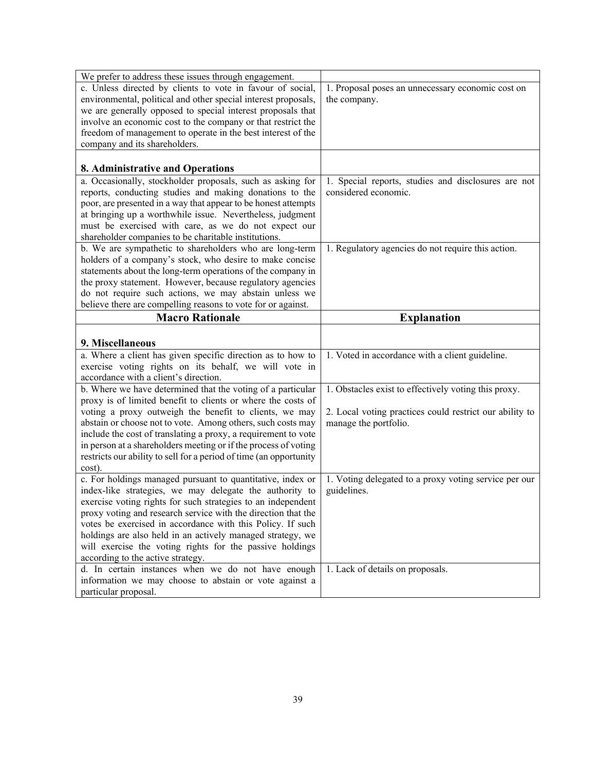| We prefer to address these issues through engagement.                                                                         |                                                                                  |
|-------------------------------------------------------------------------------------------------------------------------------|----------------------------------------------------------------------------------|
| c. Unless directed by clients to vote in favour of social,                                                                    | 1. Proposal poses an unnecessary economic cost on                                |
| environmental, political and other special interest proposals,                                                                | the company.                                                                     |
| we are generally opposed to special interest proposals that                                                                   |                                                                                  |
| involve an economic cost to the company or that restrict the                                                                  |                                                                                  |
| freedom of management to operate in the best interest of the                                                                  |                                                                                  |
| company and its shareholders.                                                                                                 |                                                                                  |
| 8. Administrative and Operations                                                                                              |                                                                                  |
| a. Occasionally, stockholder proposals, such as asking for                                                                    | 1. Special reports, studies and disclosures are not                              |
| reports, conducting studies and making donations to the                                                                       | considered economic.                                                             |
| poor, are presented in a way that appear to be honest attempts                                                                |                                                                                  |
| at bringing up a worthwhile issue. Nevertheless, judgment                                                                     |                                                                                  |
| must be exercised with care, as we do not expect our                                                                          |                                                                                  |
| shareholder companies to be charitable institutions.                                                                          |                                                                                  |
| b. We are sympathetic to shareholders who are long-term                                                                       | 1. Regulatory agencies do not require this action.                               |
| holders of a company's stock, who desire to make concise                                                                      |                                                                                  |
| statements about the long-term operations of the company in                                                                   |                                                                                  |
| the proxy statement. However, because regulatory agencies                                                                     |                                                                                  |
| do not require such actions, we may abstain unless we                                                                         |                                                                                  |
| believe there are compelling reasons to vote for or against.                                                                  |                                                                                  |
| <b>Macro Rationale</b>                                                                                                        | <b>Explanation</b>                                                               |
|                                                                                                                               |                                                                                  |
|                                                                                                                               |                                                                                  |
| 9. Miscellaneous                                                                                                              |                                                                                  |
| a. Where a client has given specific direction as to how to                                                                   | 1. Voted in accordance with a client guideline.                                  |
| exercise voting rights on its behalf, we will vote in                                                                         |                                                                                  |
| accordance with a client's direction.                                                                                         |                                                                                  |
| b. Where we have determined that the voting of a particular                                                                   | 1. Obstacles exist to effectively voting this proxy.                             |
| proxy is of limited benefit to clients or where the costs of                                                                  |                                                                                  |
| voting a proxy outweigh the benefit to clients, we may                                                                        | 2. Local voting practices could restrict our ability to<br>manage the portfolio. |
| abstain or choose not to vote. Among others, such costs may<br>include the cost of translating a proxy, a requirement to vote |                                                                                  |
| in person at a shareholders meeting or if the process of voting                                                               |                                                                                  |
| restricts our ability to sell for a period of time (an opportunity                                                            |                                                                                  |
| cost).                                                                                                                        |                                                                                  |
| c. For holdings managed pursuant to quantitative, index or                                                                    | 1. Voting delegated to a proxy voting service per our                            |
| index-like strategies, we may delegate the authority to                                                                       | guidelines.                                                                      |
| exercise voting rights for such strategies to an independent                                                                  |                                                                                  |
| proxy voting and research service with the direction that the                                                                 |                                                                                  |
| votes be exercised in accordance with this Policy. If such                                                                    |                                                                                  |
| holdings are also held in an actively managed strategy, we                                                                    |                                                                                  |
| will exercise the voting rights for the passive holdings                                                                      |                                                                                  |
| according to the active strategy.                                                                                             |                                                                                  |
| d. In certain instances when we do not have enough                                                                            | 1. Lack of details on proposals.                                                 |
| information we may choose to abstain or vote against a<br>particular proposal.                                                |                                                                                  |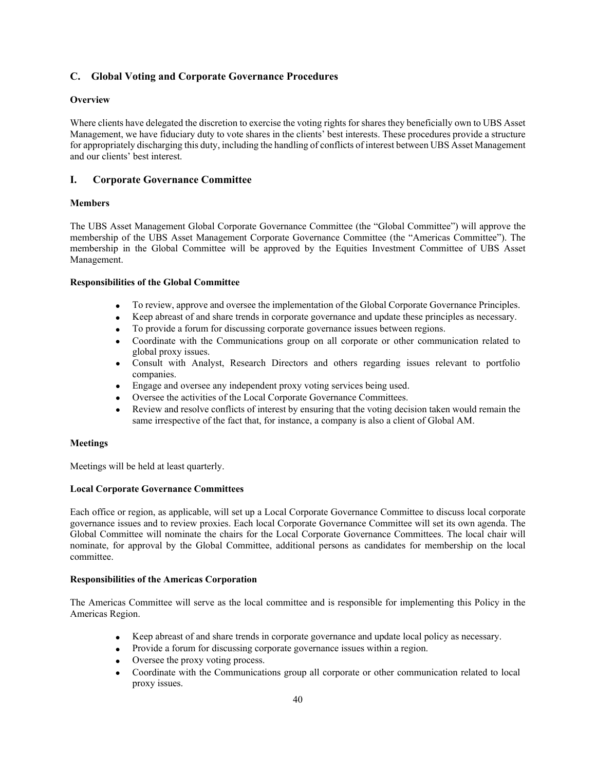### **C. Global Voting and Corporate Governance Procedures**

### **Overview**

Where clients have delegated the discretion to exercise the voting rights for shares they beneficially own to UBS Asset Management, we have fiduciary duty to vote shares in the clients' best interests. These procedures provide a structure for appropriately discharging this duty, including the handling of conflicts of interest between UBS Asset Management and our clients' best interest.

### **I. Corporate Governance Committee**

### **Members**

The UBS Asset Management Global Corporate Governance Committee (the "Global Committee") will approve the membership of the UBS Asset Management Corporate Governance Committee (the "Americas Committee"). The membership in the Global Committee will be approved by the Equities Investment Committee of UBS Asset Management.

### **Responsibilities of the Global Committee**

- To review, approve and oversee the implementation of the Global Corporate Governance Principles.
- Keep abreast of and share trends in corporate governance and update these principles as necessary.
- To provide a forum for discussing corporate governance issues between regions.
- Coordinate with the Communications group on all corporate or other communication related to global proxy issues.
- Consult with Analyst, Research Directors and others regarding issues relevant to portfolio companies.
- Engage and oversee any independent proxy voting services being used.
- Oversee the activities of the Local Corporate Governance Committees.
- Review and resolve conflicts of interest by ensuring that the voting decision taken would remain the same irrespective of the fact that, for instance, a company is also a client of Global AM.

### **Meetings**

Meetings will be held at least quarterly.

### **Local Corporate Governance Committees**

Each office or region, as applicable, will set up a Local Corporate Governance Committee to discuss local corporate governance issues and to review proxies. Each local Corporate Governance Committee will set its own agenda. The Global Committee will nominate the chairs for the Local Corporate Governance Committees. The local chair will nominate, for approval by the Global Committee, additional persons as candidates for membership on the local committee.

### **Responsibilities of the Americas Corporation**

The Americas Committee will serve as the local committee and is responsible for implementing this Policy in the Americas Region.

- Keep abreast of and share trends in corporate governance and update local policy as necessary.
- Provide a forum for discussing corporate governance issues within a region.
- Oversee the proxy voting process.
- Coordinate with the Communications group all corporate or other communication related to local proxy issues.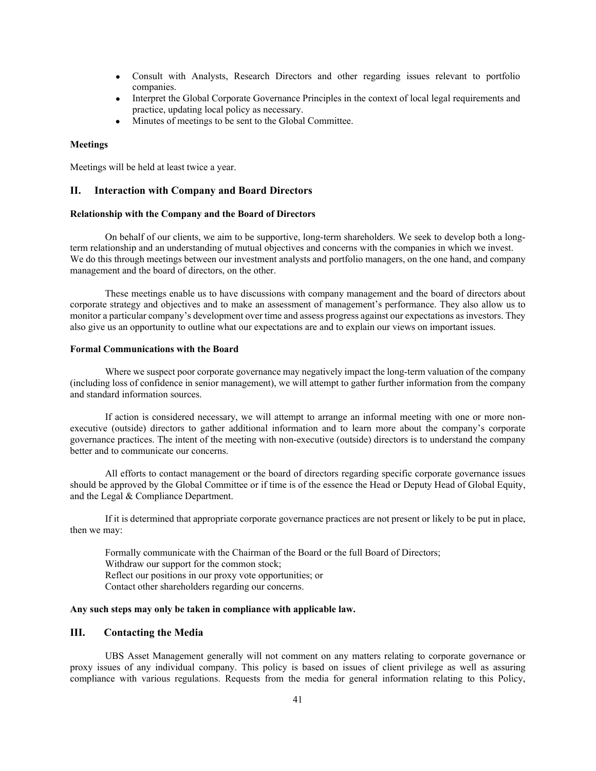- Consult with Analysts, Research Directors and other regarding issues relevant to portfolio companies.
- Interpret the Global Corporate Governance Principles in the context of local legal requirements and practice, updating local policy as necessary.
- Minutes of meetings to be sent to the Global Committee.

#### **Meetings**

Meetings will be held at least twice a year.

### **II. Interaction with Company and Board Directors**

### **Relationship with the Company and the Board of Directors**

On behalf of our clients, we aim to be supportive, long-term shareholders. We seek to develop both a longterm relationship and an understanding of mutual objectives and concerns with the companies in which we invest. We do this through meetings between our investment analysts and portfolio managers, on the one hand, and company management and the board of directors, on the other.

These meetings enable us to have discussions with company management and the board of directors about corporate strategy and objectives and to make an assessment of management's performance. They also allow us to monitor a particular company's development over time and assess progress against our expectations as investors. They also give us an opportunity to outline what our expectations are and to explain our views on important issues.

#### **Formal Communications with the Board**

Where we suspect poor corporate governance may negatively impact the long-term valuation of the company (including loss of confidence in senior management), we will attempt to gather further information from the company and standard information sources.

If action is considered necessary, we will attempt to arrange an informal meeting with one or more nonexecutive (outside) directors to gather additional information and to learn more about the company's corporate governance practices. The intent of the meeting with non-executive (outside) directors is to understand the company better and to communicate our concerns.

All efforts to contact management or the board of directors regarding specific corporate governance issues should be approved by the Global Committee or if time is of the essence the Head or Deputy Head of Global Equity, and the Legal & Compliance Department.

If it is determined that appropriate corporate governance practices are not present or likely to be put in place, then we may:

 Formally communicate with the Chairman of the Board or the full Board of Directors; Withdraw our support for the common stock; Reflect our positions in our proxy vote opportunities; or Contact other shareholders regarding our concerns.

### **Any such steps may only be taken in compliance with applicable law.**

### **III. Contacting the Media**

UBS Asset Management generally will not comment on any matters relating to corporate governance or proxy issues of any individual company. This policy is based on issues of client privilege as well as assuring compliance with various regulations. Requests from the media for general information relating to this Policy,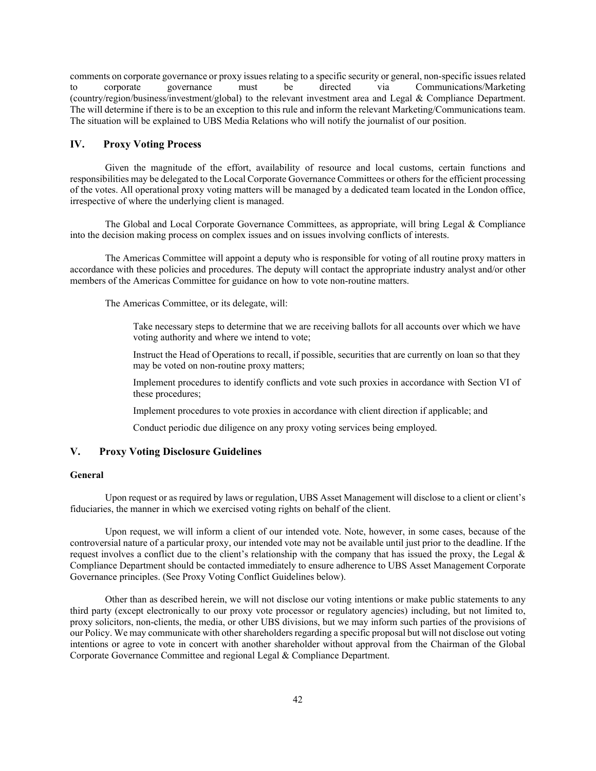comments on corporate governance or proxy issues relating to a specific security or general, non-specific issues related to corporate governance must be directed via Communications/Marketing (country/region/business/investment/global) to the relevant investment area and Legal & Compliance Department. The will determine if there is to be an exception to this rule and inform the relevant Marketing/Communications team. The situation will be explained to UBS Media Relations who will notify the journalist of our position.

### **IV. Proxy Voting Process**

Given the magnitude of the effort, availability of resource and local customs, certain functions and responsibilities may be delegated to the Local Corporate Governance Committees or others for the efficient processing of the votes. All operational proxy voting matters will be managed by a dedicated team located in the London office, irrespective of where the underlying client is managed.

The Global and Local Corporate Governance Committees, as appropriate, will bring Legal & Compliance into the decision making process on complex issues and on issues involving conflicts of interests.

The Americas Committee will appoint a deputy who is responsible for voting of all routine proxy matters in accordance with these policies and procedures. The deputy will contact the appropriate industry analyst and/or other members of the Americas Committee for guidance on how to vote non-routine matters.

The Americas Committee, or its delegate, will:

Take necessary steps to determine that we are receiving ballots for all accounts over which we have voting authority and where we intend to vote;

Instruct the Head of Operations to recall, if possible, securities that are currently on loan so that they may be voted on non-routine proxy matters;

Implement procedures to identify conflicts and vote such proxies in accordance with Section VI of these procedures;

Implement procedures to vote proxies in accordance with client direction if applicable; and

Conduct periodic due diligence on any proxy voting services being employed.

## **V. Proxy Voting Disclosure Guidelines**

#### **General**

Upon request or as required by laws or regulation, UBS Asset Management will disclose to a client or client's fiduciaries, the manner in which we exercised voting rights on behalf of the client.

Upon request, we will inform a client of our intended vote. Note, however, in some cases, because of the controversial nature of a particular proxy, our intended vote may not be available until just prior to the deadline. If the request involves a conflict due to the client's relationship with the company that has issued the proxy, the Legal  $\&$ Compliance Department should be contacted immediately to ensure adherence to UBS Asset Management Corporate Governance principles. (See Proxy Voting Conflict Guidelines below).

Other than as described herein, we will not disclose our voting intentions or make public statements to any third party (except electronically to our proxy vote processor or regulatory agencies) including, but not limited to, proxy solicitors, non-clients, the media, or other UBS divisions, but we may inform such parties of the provisions of our Policy. We may communicate with other shareholders regarding a specific proposal but will not disclose out voting intentions or agree to vote in concert with another shareholder without approval from the Chairman of the Global Corporate Governance Committee and regional Legal & Compliance Department.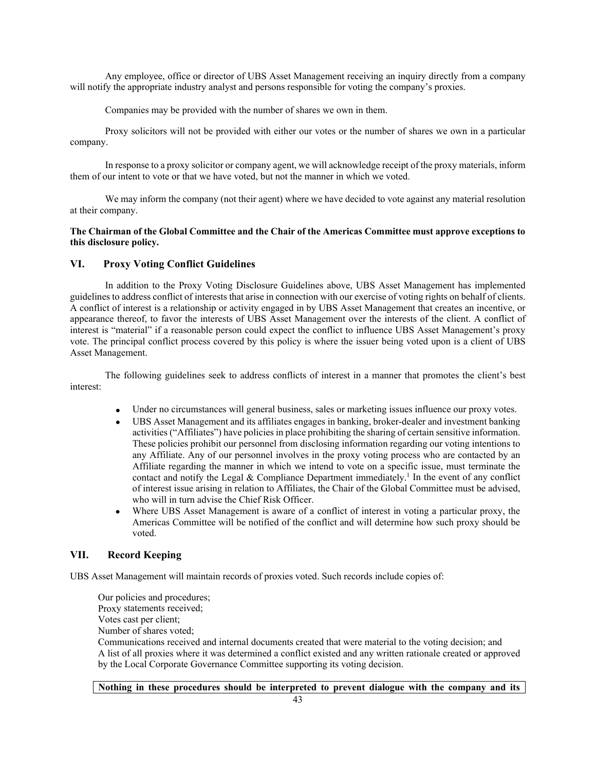Any employee, office or director of UBS Asset Management receiving an inquiry directly from a company will notify the appropriate industry analyst and persons responsible for voting the company's proxies.

Companies may be provided with the number of shares we own in them.

Proxy solicitors will not be provided with either our votes or the number of shares we own in a particular company.

In response to a proxy solicitor or company agent, we will acknowledge receipt of the proxy materials, inform them of our intent to vote or that we have voted, but not the manner in which we voted.

We may inform the company (not their agent) where we have decided to vote against any material resolution at their company.

### **The Chairman of the Global Committee and the Chair of the Americas Committee must approve exceptions to this disclosure policy.**

### **VI. Proxy Voting Conflict Guidelines**

In addition to the Proxy Voting Disclosure Guidelines above, UBS Asset Management has implemented guidelines to address conflict of interests that arise in connection with our exercise of voting rights on behalf of clients. A conflict of interest is a relationship or activity engaged in by UBS Asset Management that creates an incentive, or appearance thereof, to favor the interests of UBS Asset Management over the interests of the client. A conflict of interest is "material" if a reasonable person could expect the conflict to influence UBS Asset Management's proxy vote. The principal conflict process covered by this policy is where the issuer being voted upon is a client of UBS Asset Management.

The following guidelines seek to address conflicts of interest in a manner that promotes the client's best interest:

- Under no circumstances will general business, sales or marketing issues influence our proxy votes.
- UBS Asset Management and its affiliates engages in banking, broker-dealer and investment banking activities ("Affiliates") have policies in place prohibiting the sharing of certain sensitive information. These policies prohibit our personnel from disclosing information regarding our voting intentions to any Affiliate. Any of our personnel involves in the proxy voting process who are contacted by an Affiliate regarding the manner in which we intend to vote on a specific issue, must terminate the contact and notify the Legal & Compliance Department immediately.<sup>1</sup> In the event of any conflict of interest issue arising in relation to Affiliates, the Chair of the Global Committee must be advised, who will in turn advise the Chief Risk Officer.
- Where UBS Asset Management is aware of a conflict of interest in voting a particular proxy, the Americas Committee will be notified of the conflict and will determine how such proxy should be voted.

### **VII. Record Keeping**

UBS Asset Management will maintain records of proxies voted. Such records include copies of:

Our policies and procedures; Proxy statements received; Votes cast per client; Number of shares voted;

Communications received and internal documents created that were material to the voting decision; and A list of all proxies where it was determined a conflict existed and any written rationale created or approved by the Local Corporate Governance Committee supporting its voting decision.

**Nothing in these procedures should be interpreted to prevent dialogue with the company and its**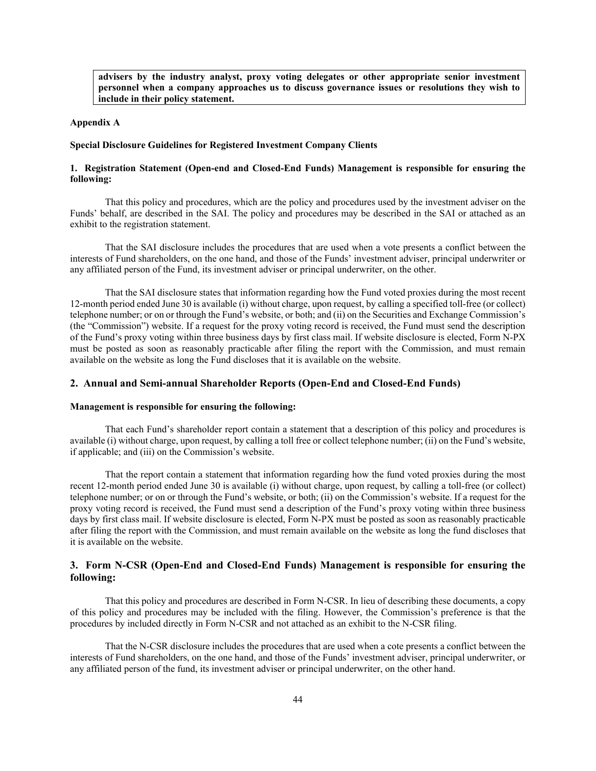**advisers by the industry analyst, proxy voting delegates or other appropriate senior investment personnel when a company approaches us to discuss governance issues or resolutions they wish to include in their policy statement.** 

#### **Appendix A**

### **Special Disclosure Guidelines for Registered Investment Company Clients**

### **1. Registration Statement (Open-end and Closed-End Funds) Management is responsible for ensuring the following:**

That this policy and procedures, which are the policy and procedures used by the investment adviser on the Funds' behalf, are described in the SAI. The policy and procedures may be described in the SAI or attached as an exhibit to the registration statement.

That the SAI disclosure includes the procedures that are used when a vote presents a conflict between the interests of Fund shareholders, on the one hand, and those of the Funds' investment adviser, principal underwriter or any affiliated person of the Fund, its investment adviser or principal underwriter, on the other.

That the SAI disclosure states that information regarding how the Fund voted proxies during the most recent 12-month period ended June 30 is available (i) without charge, upon request, by calling a specified toll-free (or collect) telephone number; or on or through the Fund's website, or both; and (ii) on the Securities and Exchange Commission's (the "Commission") website. If a request for the proxy voting record is received, the Fund must send the description of the Fund's proxy voting within three business days by first class mail. If website disclosure is elected, Form N-PX must be posted as soon as reasonably practicable after filing the report with the Commission, and must remain available on the website as long the Fund discloses that it is available on the website.

### **2. Annual and Semi-annual Shareholder Reports (Open-End and Closed-End Funds)**

### **Management is responsible for ensuring the following:**

That each Fund's shareholder report contain a statement that a description of this policy and procedures is available (i) without charge, upon request, by calling a toll free or collect telephone number; (ii) on the Fund's website, if applicable; and (iii) on the Commission's website.

That the report contain a statement that information regarding how the fund voted proxies during the most recent 12-month period ended June 30 is available (i) without charge, upon request, by calling a toll-free (or collect) telephone number; or on or through the Fund's website, or both; (ii) on the Commission's website. If a request for the proxy voting record is received, the Fund must send a description of the Fund's proxy voting within three business days by first class mail. If website disclosure is elected, Form N-PX must be posted as soon as reasonably practicable after filing the report with the Commission, and must remain available on the website as long the fund discloses that it is available on the website.

### **3. Form N-CSR (Open-End and Closed-End Funds) Management is responsible for ensuring the following:**

That this policy and procedures are described in Form N-CSR. In lieu of describing these documents, a copy of this policy and procedures may be included with the filing. However, the Commission's preference is that the procedures by included directly in Form N-CSR and not attached as an exhibit to the N-CSR filing.

That the N-CSR disclosure includes the procedures that are used when a cote presents a conflict between the interests of Fund shareholders, on the one hand, and those of the Funds' investment adviser, principal underwriter, or any affiliated person of the fund, its investment adviser or principal underwriter, on the other hand.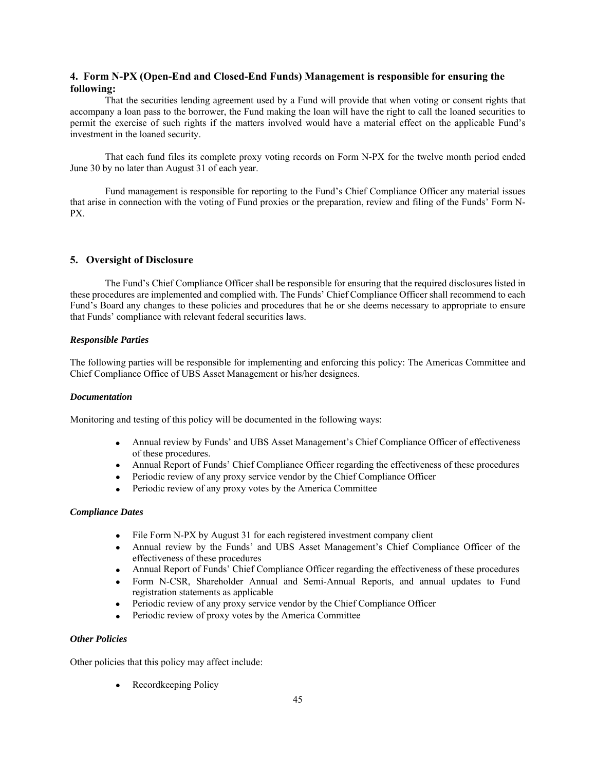### **4. Form N-PX (Open-End and Closed-End Funds) Management is responsible for ensuring the following:**

That the securities lending agreement used by a Fund will provide that when voting or consent rights that accompany a loan pass to the borrower, the Fund making the loan will have the right to call the loaned securities to permit the exercise of such rights if the matters involved would have a material effect on the applicable Fund's investment in the loaned security.

That each fund files its complete proxy voting records on Form N-PX for the twelve month period ended June 30 by no later than August 31 of each year.

Fund management is responsible for reporting to the Fund's Chief Compliance Officer any material issues that arise in connection with the voting of Fund proxies or the preparation, review and filing of the Funds' Form N-PX.

### **5. Oversight of Disclosure**

The Fund's Chief Compliance Officer shall be responsible for ensuring that the required disclosures listed in these procedures are implemented and complied with. The Funds' Chief Compliance Officer shall recommend to each Fund's Board any changes to these policies and procedures that he or she deems necessary to appropriate to ensure that Funds' compliance with relevant federal securities laws.

#### *Responsible Parties*

The following parties will be responsible for implementing and enforcing this policy: The Americas Committee and Chief Compliance Office of UBS Asset Management or his/her designees.

### *Documentation*

Monitoring and testing of this policy will be documented in the following ways:

- Annual review by Funds' and UBS Asset Management's Chief Compliance Officer of effectiveness of these procedures.
- Annual Report of Funds' Chief Compliance Officer regarding the effectiveness of these procedures
- Periodic review of any proxy service vendor by the Chief Compliance Officer
- Periodic review of any proxy votes by the America Committee

#### *Compliance Dates*

- File Form N-PX by August 31 for each registered investment company client
- Annual review by the Funds' and UBS Asset Management's Chief Compliance Officer of the effectiveness of these procedures
- Annual Report of Funds' Chief Compliance Officer regarding the effectiveness of these procedures
- Form N-CSR, Shareholder Annual and Semi-Annual Reports, and annual updates to Fund registration statements as applicable
- Periodic review of any proxy service vendor by the Chief Compliance Officer
- Periodic review of proxy votes by the America Committee

#### *Other Policies*

Other policies that this policy may affect include:

• Recordkeeping Policy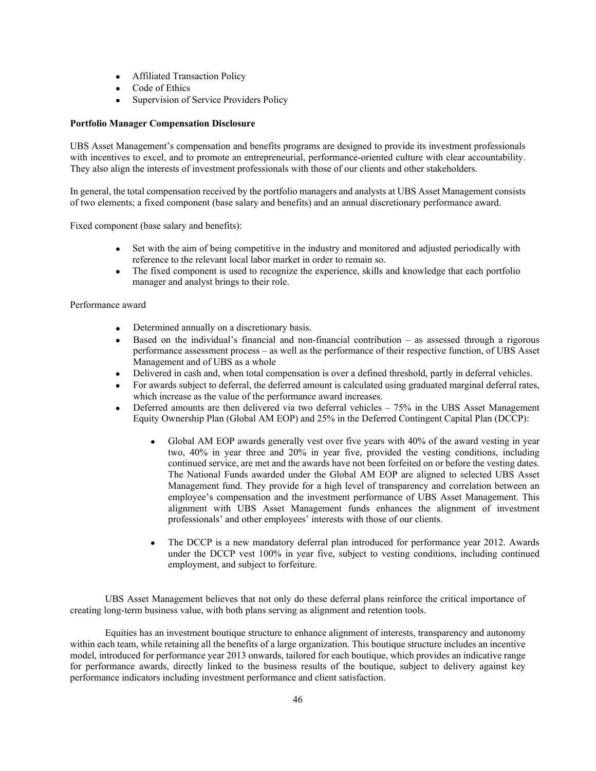- Affiliated Transaction Policy
- Code of Ethics
- Supervision of Service Providers Policy

### **Portfolio Manager Compensation Disclosure**

UBS Asset Management's compensation and benefits programs are designed to provide its investment professionals with incentives to excel, and to promote an entrepreneurial, performance-oriented culture with clear accountability. They also align the interests of investment professionals with those of our clients and other stakeholders.

In general, the total compensation received by the portfolio managers and analysts at UBS Asset Management consists of two elements; a fixed component (base salary and benefits) and an annual discretionary performance award.

Fixed component (base salary and benefits):

- Set with the aim of being competitive in the industry and monitored and adjusted periodically with reference to the relevant local labor market in order to remain so.
- The fixed component is used to recognize the experience, skills and knowledge that each portfolio manager and analyst brings to their role.

Performance award

- Determined annually on a discretionary basis.
- Based on the individual's financial and non-financial contribution as assessed through a rigorous performance assessment process – as well as the performance of their respective function, of UBS Asset Management and of UBS as a whole
- Delivered in cash and, when total compensation is over a defined threshold, partly in deferral vehicles.
- For awards subject to deferral, the deferred amount is calculated using graduated marginal deferral rates, which increase as the value of the performance award increases.
- Deferred amounts are then delivered via two deferral vehicles 75% in the UBS Asset Management Equity Ownership Plan (Global AM EOP) and 25% in the Deferred Contingent Capital Plan (DCCP):
	- Global AM EOP awards generally vest over five years with 40% of the award vesting in year two, 40% in year three and 20% in year five, provided the vesting conditions, including continued service, are met and the awards have not been forfeited on or before the vesting dates. The National Funds awarded under the Global AM EOP are aligned to selected UBS Asset Management fund. They provide for a high level of transparency and correlation between an employee's compensation and the investment performance of UBS Asset Management. This alignment with UBS Asset Management funds enhances the alignment of investment professionals' and other employees' interests with those of our clients.
	- The DCCP is a new mandatory deferral plan introduced for performance year 2012. Awards under the DCCP vest 100% in year five, subject to vesting conditions, including continued employment, and subject to forfeiture.

UBS Asset Management believes that not only do these deferral plans reinforce the critical importance of creating long-term business value, with both plans serving as alignment and retention tools.

Equities has an investment boutique structure to enhance alignment of interests, transparency and autonomy within each team, while retaining all the benefits of a large organization. This boutique structure includes an incentive model, introduced for performance year 2013 onwards, tailored for each boutique, which provides an indicative range for performance awards, directly linked to the business results of the boutique, subject to delivery against key performance indicators including investment performance and client satisfaction.